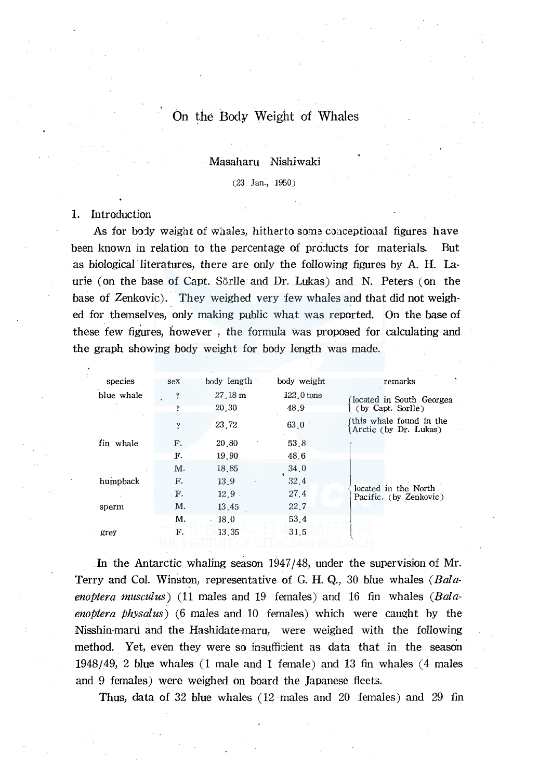### Masaharu Nishiwaki

(23 Jan., 1950)

### 1. Introduction

As for body weight of whales, hitherto some conceptional figures have been known in relation to the percentage of products for materials. But as biological literatures, there are only the following figures by A. H. Laurie (on the base of Capt. Sorlle and Dr. Lukas) and N. Peters (on the base of Zenkovic). They weighed very few whales and that did not weighed for themselves, only making public what was reported. On the base of these few figures, however, the formula was proposed for calculating and the graph showing body weight for body length was made.

| species    | sex       | body length                 | body weight  | remarks                                          |
|------------|-----------|-----------------------------|--------------|--------------------------------------------------|
| blue whale | ?         | 27.18 m                     | $122.0$ tons | located in South Georgea                         |
|            |           | 20.30                       | 48.9         | (by Capt. Sorlle)                                |
|            | ?         | $-23, 72$                   | 63.0         | this whale found in the<br>Arctic (by Dr. Lukas) |
| fin whale  | F.        | 20.80                       | 53.8         |                                                  |
|            | F.        | 19.90                       | 48.6         |                                                  |
|            | M.        | 18.85                       | 34.0         |                                                  |
| humpback   | F.        | 13.9                        | 32.4         |                                                  |
|            | <b>F.</b> | $12.9$ .                    | 27.4         | located in the North<br>Pacific. (by Zenkovic)   |
| sperm      | Μ.        | 13.45                       | 22.7         |                                                  |
|            | M.        | 18.0<br>$\mathcal{L}^{\pm}$ | 53.4         |                                                  |
| grey       | F.        | 13.35                       | 31.5         |                                                  |
|            |           |                             |              |                                                  |

In the Antarctic whaling season  $1947/48$ , under the supervision of Mr. Terry and Col. Winston, representative of G. H. Q., 30 blue whales *(BalaenoPtera musculus)* (11 males and 19 females) and 16 fin whales *(Balaenoptera physalus*) (6 males and 10 females) which were caught by the Nisshin-maru and the Hashidate-maru, were weighed with the following method. Yet, even they were so insufficient as data that in the season 1948/49, 2 blue whales (1 male and 1 female) and 13 fin whales (4 males and 9 females) were weighed on board the Japanese fleets.

Thus, data of 32 blue whales (12 males and 20 females) and 29 fin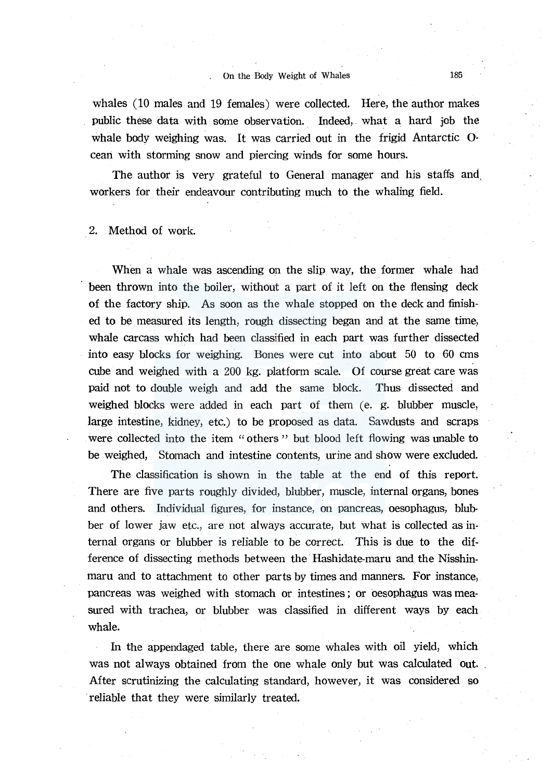whales (10 males and 19 females) were collected. Here, the author makes public these data with some observation. Indeed,. what a hard job the whale body weighing was. It was carried out in the frigid Antarctic O· cean with storming snow and piercing winds for some hours.

The author is very grateful to General manager and his staffs and, workers for their endeavour contributing much to the whaling field.

2. Method of work.

When a whale was ascending on the slip way, the former whale had been thrown into the boiler, without a part of it left on the flensing deck of the factory ship. As soon as the whale stopped on the deck and finished to be measured its length, rough dissecting began and at the same time, whale carcass which had been classified in each part was further dissected into easy blocks for weighing. Bones were cut into about 50 to 60 cms cube and weighed with a 200 kg. platform scale. Of course great care was paid not to double weigh and add the same block. Thus dissected and weighed blocks were added in each part of them (e. g. blubber muscle, large intestine, kidney, etc.) to be proposed as data. Sawdusts and scraps were collected into the item "others" but blood left flowing was unable to be weighed, Stomach and intestine contents, urine and show were excluded.

The classification is shown in the table at the end of this report. There are five parts roughly divided, blubber, muscle, internal organs, bones and others. Individual figures, for instance, on pancreas, oesophagus; blubber of lower jaw etc., are not always accurate, but what is collected as internal organs or blubber is reliable to be correct. This is due to the difference of dissecting methods between the· Hashidate-maru and the Nisshinmaru and to attachment to other parts by times and manners. For instance, pancreas was weighed with stomach or intestines; or oesophagus was measured with trachea, or blubber was classified in different ways by each whale.

In the appendaged table, there are some whales with oil yield, which was not always obtained from the one whale only but was calculated **out.**  After scrutinizing the calculating standard, however, it was considered so reliable that they were similarly treated.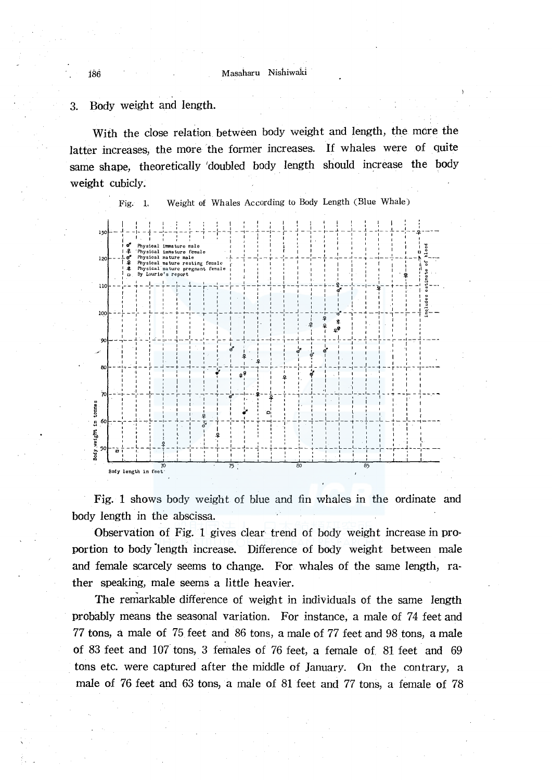Body weight and length. 3.

With the close relation between body weight and length, the more the latter increases, the more the former increases. If whales were of quite same shape, theoretically 'doubled body length should increase the body weight cubicly.

> Weight of Whales According to Body Length (Blue Whale) Fig. 1.



Fig. 1 shows body weight of blue and fin whales in the ordinate and body length in the abscissa.

Observation of Fig. 1 gives clear trend of body weight increase in proportion to body length increase. Difference of body weight between male and female scarcely seems to change. For whales of the same length, rather speaking, male seems a little heavier.

The remarkable difference of weight in individuals of the same length probably means the seasonal variation. For instance, a male of 74 feet and 77 tons, a male of 75 feet and 86 tons, a male of 77 feet and 98 tons, a male of 83 feet and 107 tons, 3 females of 76 feet, a female of 81 feet and 69 tons etc. were captured after the middle of January. On the contrary, a male of 76 feet and 63 tons, a male of 81 feet and 77 tons, a female of 78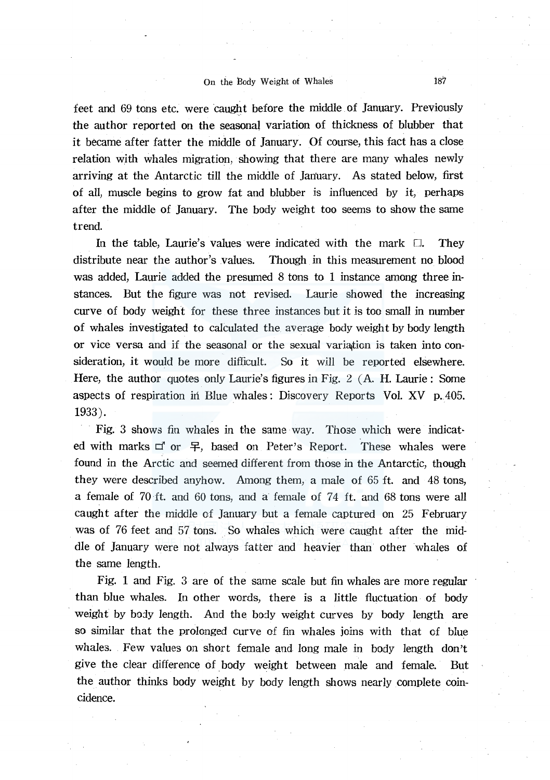feet and 69 tons etc. were caught before the middle of January. Previously the author reported on the seasonal variation of thickness of blubber that it became after fatter the middle of January. Of course, this fact has a dose relation with whales migration, showing that there are many whales newly arriving at the Antarctic till the middle of January. As stated below, first of all, muscle begins to grow fat and blubber is influenced by it, perhaps after the middle of January. The body weight too seems to show the same trend.

In the table, Laurie's values were indicated with the mark  $\Box$ . They distribute near the author's values. Though in this measurement no blood was added, Laurie added the presumed 8 tons to 1 instance among three instances. But the figure was not revised. Laurie showed the increasing curve of body weight for these three instances but it is too small in number of whales investigated to calculated the average body weight by body length or vice versa and if the seasonal or the sexual variaition is taken into consideration, it would be more difficult. So it will be reported elsewhere. Here, the author quotes only Laurie's figures in Fig. 2 (A. H. Laurie: Some aspects of respiration in Blue whales: Discovery Reports Vol. XV p.405. 1933).

Fig. 3 shows fin whales in the same way. Those which were indicat· ed with marks  $\Box$  or  $\Box$ , based on Peter's Report. These whales were found in the Arctic and seemed different from those in the Antarctic, though they were described anyhow. Among them, a male of 65 ft. and 48 tons, a female of 70 ft. and 60 tons, and a female of 7 4 ft. and 68 tons were all caught after the middle of January but a female captured on 25 February was of 76 feet and 57 tons. So whales which were caught after the middle of January were not always fatter and heavier than other whales of the same length.

Fig. 1 and Fig. 3 are of the same scale but fin whales are more regular than blue whales. In other words, there is a little fluctuation of body weight by body length. And the body weight curves by body length are so similar that the prolonged curve of fin whales joins with that of blue whales. Few values on short female and long male in body length don't give the clear difference of body weight between male and female. But the author thinks body weight by body length shows nearly complete coincidence.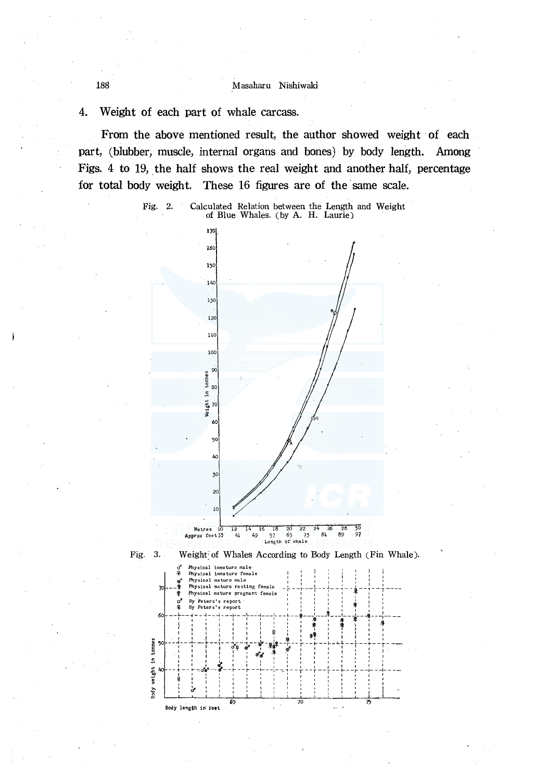Weight of each part of whale carcass. 4.

From the above mentioned result, the author showed weight of each part, (blubber, muscle, internal organs and bones) by body length. Among Figs. 4 to 19, the half shows the real weight and another half, percentage for total body weight. These 16 figures are of the same scale.

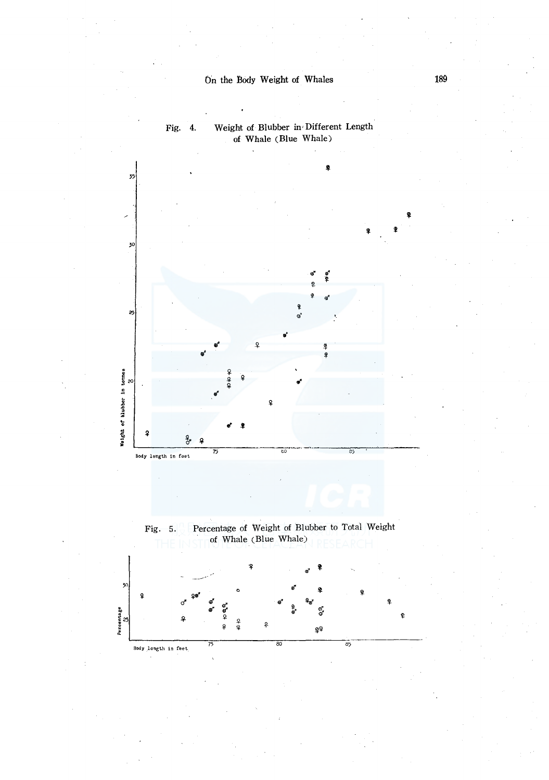

Percentage of Weight of Blubber to Total Weight Fig.  $5.$ of Whale (Blue Whale)

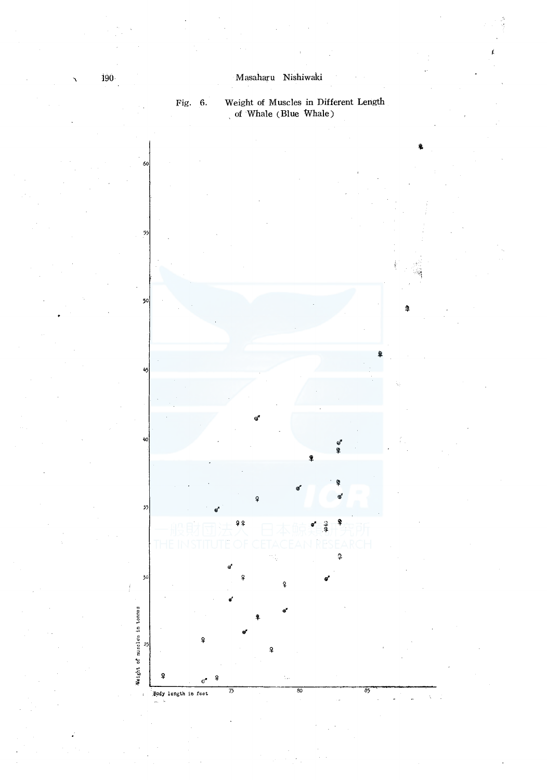

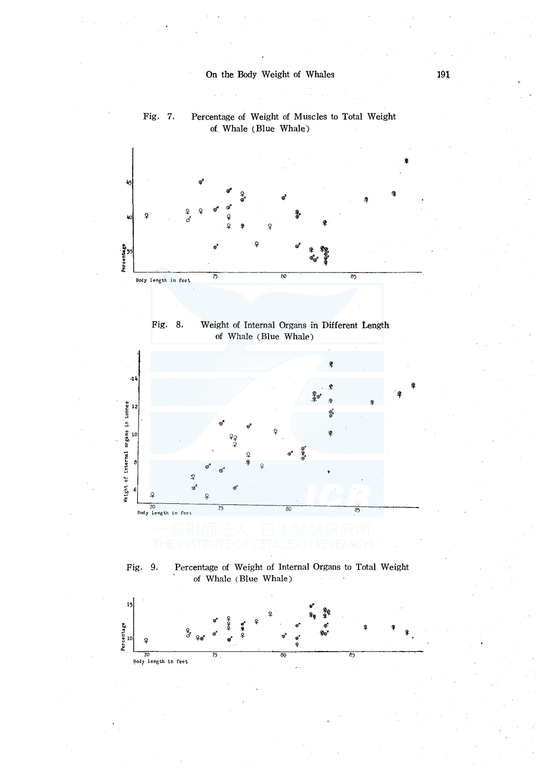$\lambda \rightarrow 0$ 



 $\overline{e}$ 

70

Body length in feet

Fig. 7. Percentage of Weight of Muscles to Total Weight of Whale (Blue Whale)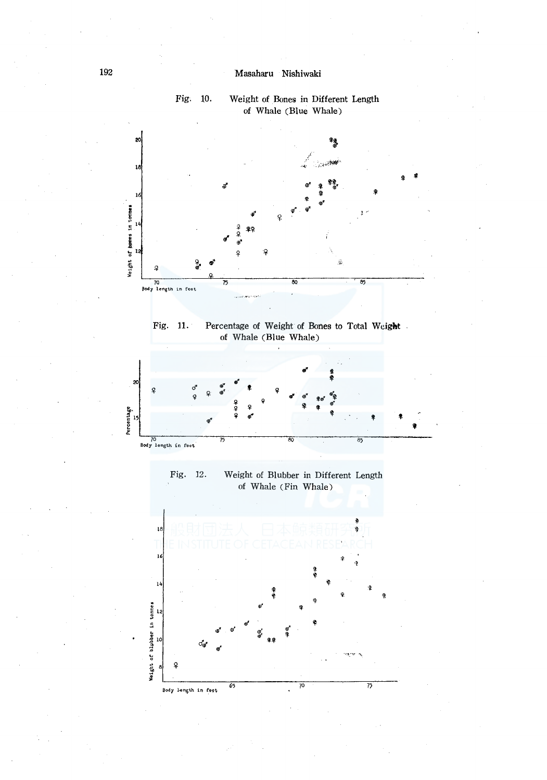#### Masaharu Nishiwaki



#### Fig. 10. Weight of Bones in Different Length of Whale (Blue Whale)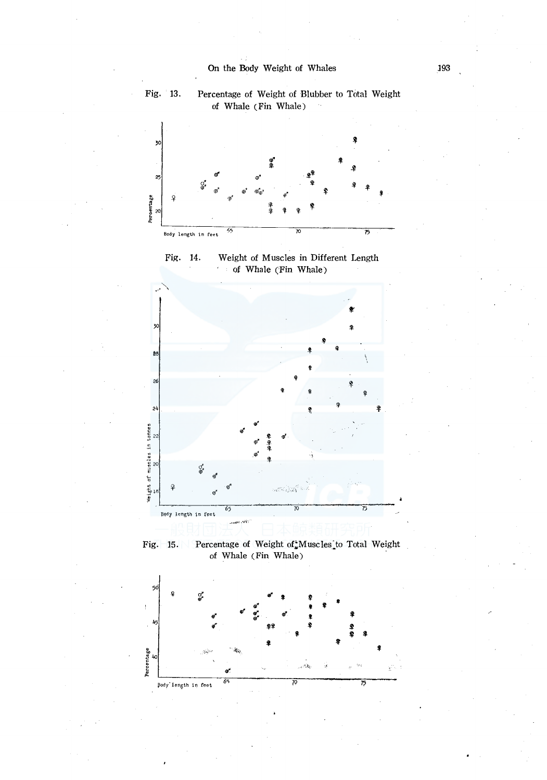Percentage of Weight of Blubber to Total Weight

Fig. 13.







Percentage of Weight of Muscles to Total Weight Fig. 15. of Whale (Fin Whale)

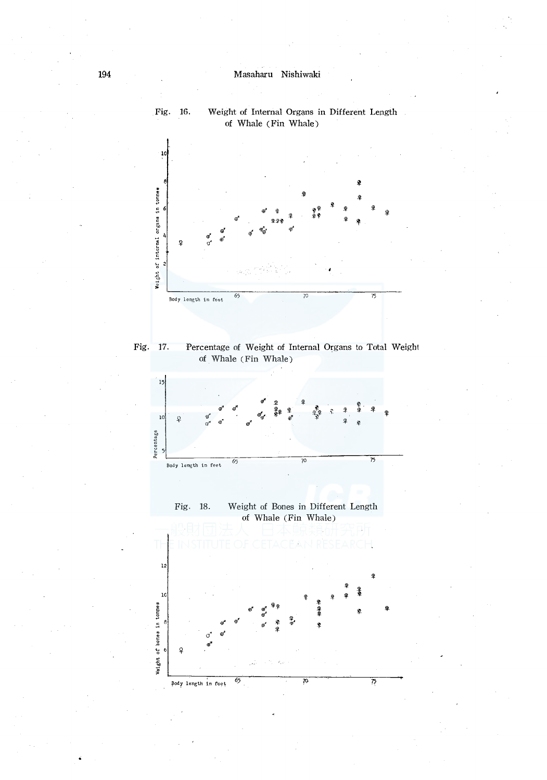

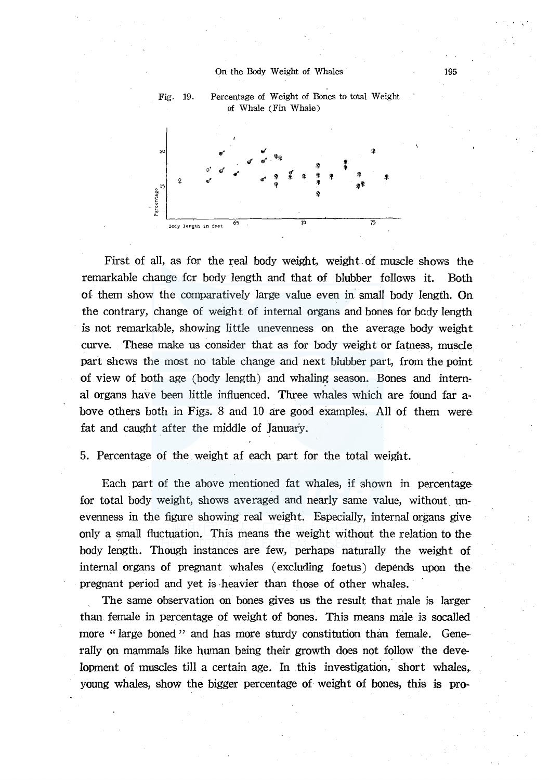

First of all, as for the real body weight, weight of muscle shows the remarkable change for body length and that of blubber fo11ows it. Both of them show the comparatively large value even in small body length. On the contrary, change of weight of internal organs and bones for body length is not remarkable, showing little unevenness on the average body weight curve. These make us consider that as for body weight or fatness, muscle part shows the most no table change and next blubber part, from the point of view of both age (body length) and whaling season. Bones and internal organs have been little influenced. Three whales which are found far above others both in Figs. 8 and 10 are good examples. All of them were fat and caught after the middle of January.

5. Percentage of the weight af each part for the total weight.

Each part of the above mentioned fat whales, if shown in percentage for total body weight, shows averaged and nearly same value, without unevenness in the figure showing real weight. Especially, internal organs give only a small fluctuation. This means the weight without the relation to the body length. Though instances are few, perhaps naturally the weight of internal organs of pregnant whales (excluding foetus) depends upon the pregnant period and yet is ·heavier than those of other whales.

The same observation on bones gives us the result that male is larger than female in percentage of weight of bones. This means male is socalled more "large boned" and has more sturdy constitution than female. Generally on mammals like human being their growth does not follow the development of muscles till a certain age. In this investigation, short whales,. young whales, show the bigger percentage of weight of bones, this is pro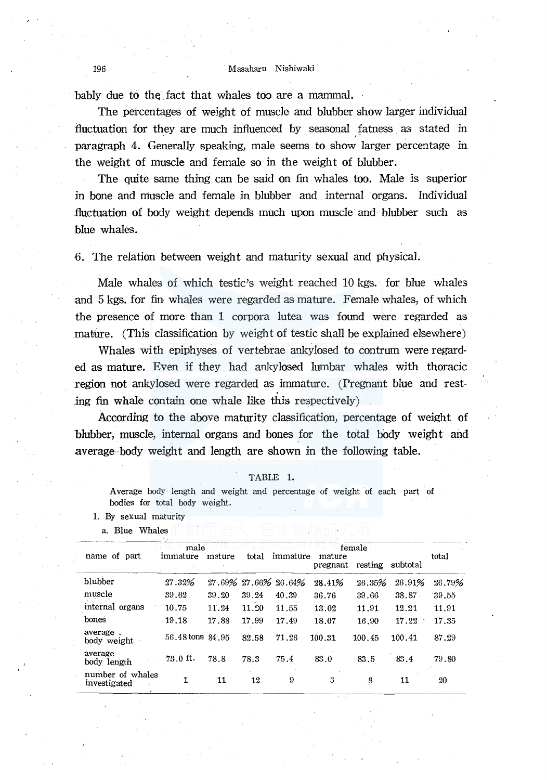bably due to the fact that whales too are a mammal.

The percentages of weight of muscle and blubber show larger individual fluctuation for they are much influenced by seasonal fatness as stated in paragraph 4. Generally speaking, male seems to show larger percentage in the weight of muscle and female so in the weight of blubber.

The quite same thing can be said on fin whales too. Male is superior in bone and muscle and female in blubber and internal organs. Individual fluctuation of body weight depends much upon muscle· and blubber such as blue whales.

6. The relation between weight and maturity sexual and physical.

Male whales of which testic's weight reached 10 kgs. for blue whales and 5 kgs. for fin whales were regarded as mature. Female whales, of which the presence of more than 1 corpora lutea was found were regarded as mature. (This classification by weight of testic shall be explained elsewhere)

Whales with epiphyses of vertebrae ankylosed to contrum were regard- ·ed as mature. Even if they had ankylosed lumbar whales with thoracic region not ankylosed were regarded as immature. (Pregnant blue and resting fin whale contain one whale like this respectively)

According to the above maturity classification, percentage of weight of blubber, muscle, internal organs and bones for the total body weight and average· body weight and length are shown in the following table.

#### TABLE 1.

Average body length and weight and percentage of weight of each part of bodies for total body weight.

1. By sexual maturity

| a. Blue Whales                   |                  |        |       |                      |                    |                         |          |        |
|----------------------------------|------------------|--------|-------|----------------------|--------------------|-------------------------|----------|--------|
| name of part                     | male<br>immature | mature | total | immature             | mature<br>pregnant | female<br>resting       | subtotal | total  |
| blubber                          | 27.32%           |        |       | 27.69% 27.66% 26.64% | 28.41%             | 26.35%                  | 26.91%   | 26.79% |
| muscle                           | 39.62            | 39.20  | 39.24 | 40.39                | 36.76              | 39.66                   | 38.87    | 39.55  |
| internal organs                  | 10.75            | 11.24  | 11.20 | -11.55               | 13.02              | 11.91                   | 12.21    | 11.91  |
| bones                            | 19.18            | 17.88  | 17.99 | 17.49                | 18.07              | 16.90                   | 17.22    | 17.35  |
| average<br>body weight           | 56.48 tons 84.95 |        | 82.58 | 71.26                | 100.31             | 100.45                  | 100.41   | 87.29  |
| average<br>body length           | $73.0$ ft.       | 78.8   | 78.3  | 75.4                 | 83.0               | 83.5                    | 83.4     | 79.80  |
| number of whales<br>investigated | 1                | 11     | 12    | 9                    | 3                  | $\overline{\mathbf{8}}$ | 11       | 20     |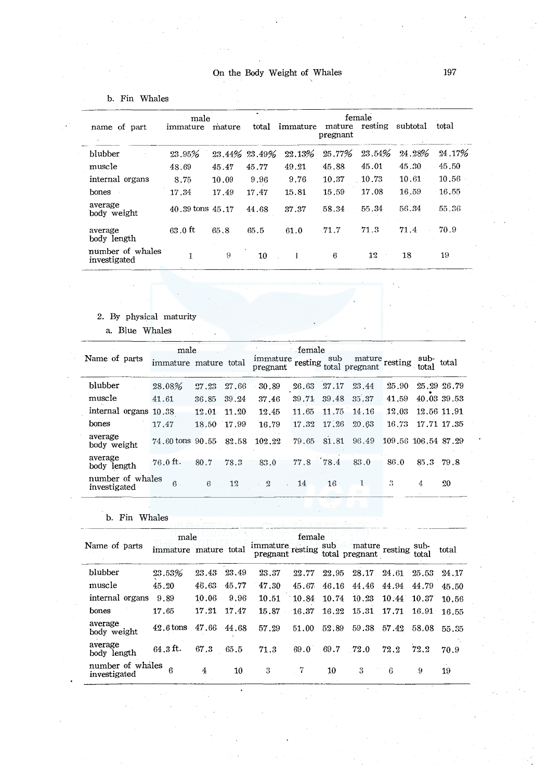| name of part                     | male<br>immature | mature | total         | immature | mature<br>pregnant | female<br>resting | subtotal | total  |
|----------------------------------|------------------|--------|---------------|----------|--------------------|-------------------|----------|--------|
| blubber                          | 23.95%           |        | 23.44% 23.49% | 22.13%   | 25.77%             | 23.54%            | 24.28%   | 24.17% |
| muscle                           | 48.69            | 45.47  | 45.77         | 49.21    | 45.88              | 45.01             | 45.30    | 45.50  |
| internal organs                  | 8.75             | 10.09  | 9.96          | 9.76     | 10.37              | 10.73             | 10.61    | 10.56  |
| bones                            | 17.34            | 17.49  | 17.47         | 15.81    | 15.59              | 17.08             | 16.59    | 16.55  |
| average<br>body weight           | 40.39 tons 45.17 |        | 44.68         | 37.37    | 58.34              | 55.34             | 56.34    | 55.36  |
| average<br>body length           | $63.0$ ft        | 65.8   | 65.5          | 61.0     | .71.7              | 71.3              | 71.4     | 70.9   |
| number of whales<br>investigated | 1                | 9      | 10            |          | -6                 | 12                | 18       | 19     |

b. Fin Whales

- 2. By physical maturity
	- a. Blue Whales

|                                  | male                        |       |       |                                  | female           |       |                                  |       |                     |             |
|----------------------------------|-----------------------------|-------|-------|----------------------------------|------------------|-------|----------------------------------|-------|---------------------|-------------|
| Name of parts                    | immature mature total       |       |       | immature<br>pregnant             | resting          | sub   | mature resting<br>total pregnant |       | sub-<br>total       | total       |
| blubber                          | 28.08%                      | 27.23 | 27.66 | 30.89                            | 26.63            | 27.17 | 23.44                            | 25.90 | 25.29 26.79         |             |
| muscle                           | 41.61                       | 36.85 | 39.24 | 37.46                            | 39.71            | 39.48 | 35.37                            | 41.59 |                     | 40.03 39.53 |
| internal organs                  | 10.38                       | 12.01 | 11.20 | 12.45                            | 11.65            | 11.75 | 14.16                            | 12.03 | 12.56 11.91         |             |
| bones                            | 17.47                       | 18.50 | 17.99 | 16.79                            | 17.32            | 17.26 | 20.63                            | 16.73 |                     | 17.71 17.35 |
| average<br>body weight           | $74.60 \text{ tons } 90.55$ |       | 82.58 | 102.22                           | 79.65            | 81.81 | 96.49                            |       | 109.56 106.54 87.29 |             |
| average<br>body length           | $76.0$ ft.                  | 80.7  | 78.3  | 83.0                             | 77.8 78.4        |       | 83.0                             | 86.0  | 85.3 79.8           |             |
| number of whales<br>investigated | $6 -$                       | 6     | 12    | $\Omega$<br>$\lambda_{\rm{max}}$ | 14<br>$\omega$ . | 16    | 1                                | 3     | 4                   | 20          |
|                                  |                             |       |       |                                  |                  |       |                                  |       |                     |             |

b. Fin Whales

|                                  | male                   |       |       |                                 | female |       |                                  |       |               |       |
|----------------------------------|------------------------|-------|-------|---------------------------------|--------|-------|----------------------------------|-------|---------------|-------|
| Name of parts                    | immature mature total  |       |       | immature<br>resting<br>pregnant |        | sub   | mature resting<br>total pregnant |       | sub-<br>total | total |
| blubber                          | 23.53%                 | 23.43 | 23.49 | 23.37                           | 22.77  | 22.95 | 28.17                            | 24.61 | 25.53         | 24.17 |
| muscle                           | 45.20                  | 46.63 | 45.77 | 47.30                           | 45.67  | 46.16 | 44.46                            | 44.94 | 44.79         | 45.50 |
| internal organs                  | 9.89                   | 10.06 | 9.96  | 10.51                           | 10.84  | 10.74 | 10.23                            | 10.44 | 10.37         | 10.56 |
| bones                            | 17.65                  | 17.21 | 17.47 | 15.87                           | 16.37  | 16.22 | 15.31                            | 17.71 | 16.91         | 16.55 |
| average<br>body weight           | $42.6 \,\mathrm{tons}$ | 47.66 | 44.68 | 57.29                           | 51.00  | 52.89 | 59.38                            | 57.42 | 58.08         | 55.35 |
| average<br>body length           | $64.3$ ft.             | 67.3  | 65.5  | 71.3                            | 69.0   | 69.7  | 72.0                             | 72.2  | 72.2          | 70.9  |
| number of whales<br>investigated | 6                      | 4     | 10    | 3                               | 7      | 10    | 3                                | 6     | 9             | 19    |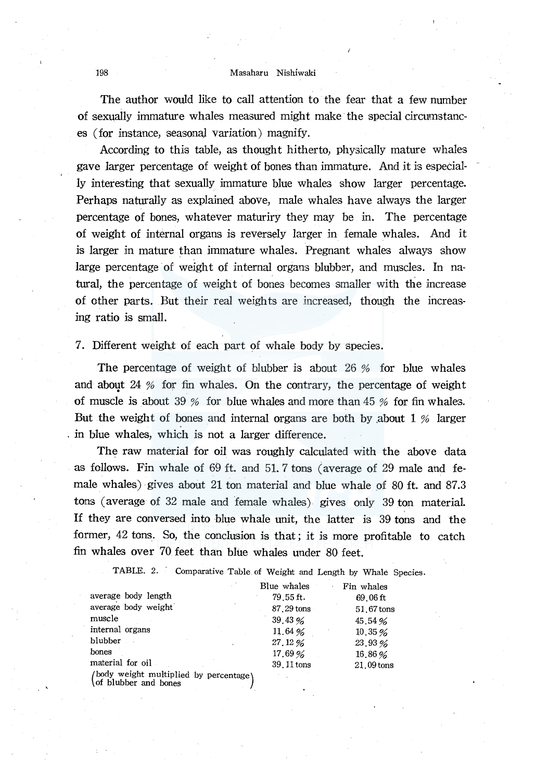#### 198 Masaharu Nishiwaki

The author would like to call attention to the fear that a few number of sexually immature whales measured might make the special circumstances (for instance, seasona) variation) magnify.

According to this table, as thought hitherto, physically mature whales gave larger percentage of weight of bones than immature. And it is especially interesting that sexually immature blue whales show larger percentage. Perhaps naturally as explained above, male whales have always the larger percentage of bones, whatever maturiry they may be in. The percentage of weight of internal organs is reversely larger in female whales. And it is larger in mature than immature whales. Pregnant whales always show large percentage of weight of internal organs blubber, and muscles. In natural, the percentage of weight of bones becomes smaller with the increase of other parts. But their real weights are increased, though the increasing ratio is small.

7. Different weight of each part of whale body by species.

The percentage of weight of blubber is about 26 % for blue whales and about 24  $%$  for fin whales. On the contrary, the percentage of weight of muscle is about 39 % for blue whales and more than 45 % for fin whales. But the weight of bones and internal organs are both by about  $1\%$  larger . in blue whales, which is not a larger difference.

The raw material for oil was roughly calculated with the above data as follows. Fin whale of 69 ft. and 51. 7 tons (average of 29 male and female whales) gives about 21 ton material and blue whale of 80 ft. and 87.3 tons (average of 32 male and female whales} gives only 39 ton material. If they are conversed into blue whale unit, the latter is 39 tons and the former, 42 tons. So, the conclusion is that; it is more profitable to catch fin whales over 70 feet than blue whales under 80 feet.

TABLE. 2. Comparative Table. of Weight and Length by Whale Species.

|                                                                | Blue whales | Fin whales |
|----------------------------------------------------------------|-------------|------------|
| average body length                                            | 79.55 ft.   | 69.06 ft   |
| average body weight                                            | 87.29 tons  | 51.67 tons |
| muscle                                                         | 39.43%      | 45.54 %    |
| internal organs                                                | 11.64%      | 10.35%     |
| blubber                                                        | 27.12%      | 23.93%     |
| bones                                                          | 17.69%      | 16.86%     |
| material for oil                                               | 39, 11 tons | 21.09 tons |
| /body weight multiplied by percentage)<br>of blubber and bones |             |            |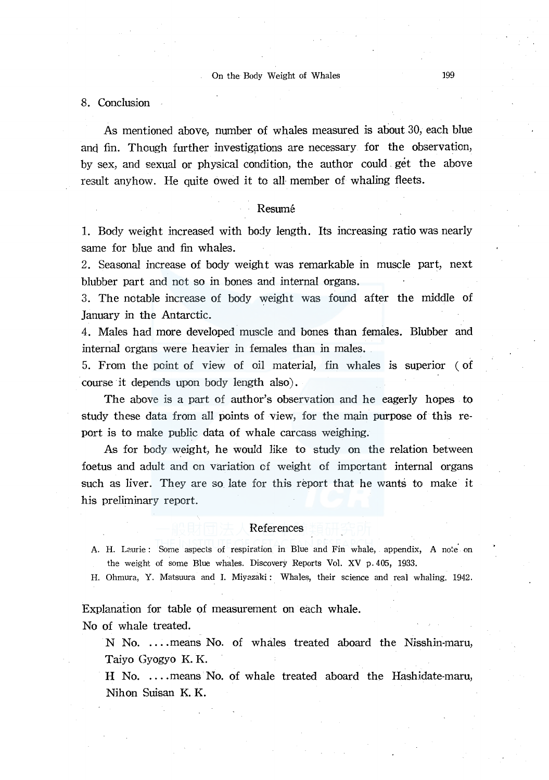#### 8. Conclusion

As mentioned above, number of whales measured is about 30, each blue and fin. Though further investigations are necessary for the observation, by sex, and sexual or physical condition, the author could get the above result anyhow. He quite owed it to all member of whaling fleets.

#### Resume

1. Body weight increased with body length. Its increasing ratio was nearly same for blue and fin whales.

2. Seasonal increase of body weight was remarkable in muscle part, next blubber part and not so in bones and internal organs.

3. The notable increase of body weight was found after the middle of January in the Antarctic.

4. Males had more developed muscle and bones than females. Blubber and internal organs were heavier in females than in males.

5. From the point of view of oil material, fin whales is superior (of course it depends upon body length also).

The above is a part of author's observation and he eagerly hopes to study these data from all points of view, for the main purpose of this report is to make public data of whale carcass weighing.

As for body weight, he would like to study on the relation between foetus and adult and on variation of weight of important internal organs such as liver. They are so late for this report that he wants to make it his preliminary report.

### References

A. H. Laurie : Some aspects of respiration in Blue and Fin whale, appendix, A note on the weight of some Blue whales. Discovery Reports Vol. XV p. 405, 1933.

H. Ohmura, Y. Matsuura and I. Miyazaki: Whales, their science and real whaling. 1942.

Explanation for table of measurement on each whale. No of whale treated.

N No. .... means No. of whales treated aboard the Nisshin-maru, Taiyo Gyogyo K. K.

H No. ... means No. of whale treated aboard the Hashidate-maru, Nihon Suisan K. K.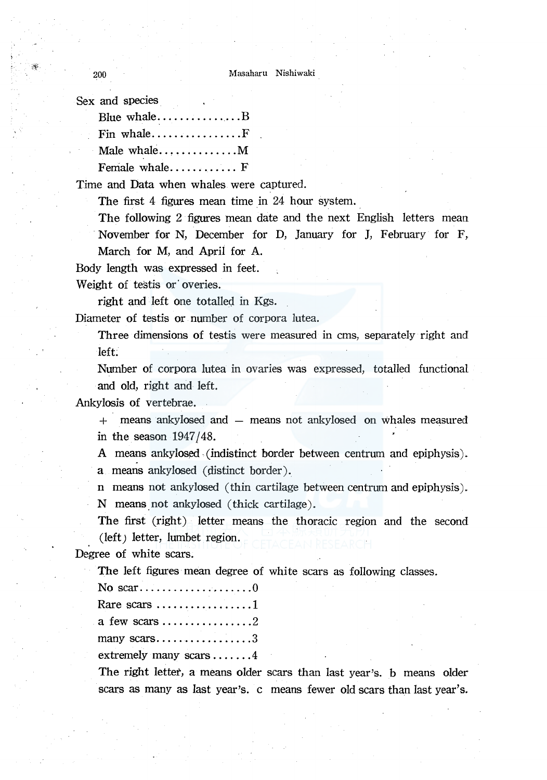Sex and species

| Blue whaleB    |
|----------------|
| Fin whale $F$  |
| Male whaleM    |
| Female whale F |

Time and Data when whales were captured.

The first 4 figures mean time in 24 hour system.

The following 2 figures mean date and the next English letters mean November for N, December for D, January for J, February for F, March for M, and April for A.

Body length was expressed in feet.

Weight of testis or overies.

right and left one totalled in Kgs.

Diameter of testis or number of corpora lutea.

Three dimensions of testis were measured in ems, separately right and left.

Number of corpora lutea in ovaries was expressed, totalled functional and old, right and left.

Ankylosis of vertebrae.

+ means ankylosed and - means not ankylosed on whales measured in the season  $1947/48$ .

A means ankylosed (indistinct border between centrum and epiphysis). a means ankylosed (distinct border).

n means not ankylosed (thin cartilage between centrum and epiphysis). N means not ankylosed (thick cartilage).

The first (right) letter means the thoracic region and the second (left) letter, lumbet region.

Degree of white scars.

The left figures mean degree of white scars as following classes.

| Rare scars 1             |
|--------------------------|
| a few scars 2            |
| many scars3              |
| extremely many scars $4$ |

The right letter, a means older scars than last year's. b means older scars as many as last year's. c means fewer old scars than last year's.

' '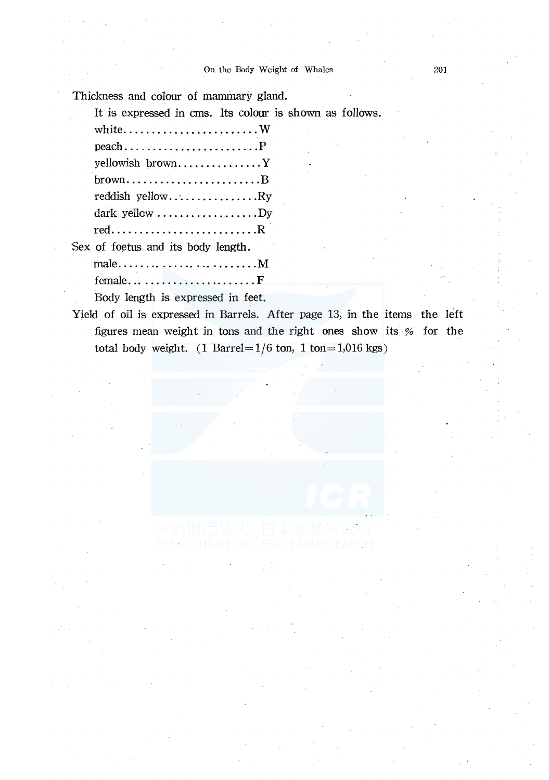Thickness and colour of maminary gland.

It is expressed in ems. Its colour is shown as follows.

| $\text{peach} \dots \dots \dots \dots \dots \dots \dots \cdot P$  |
|-------------------------------------------------------------------|
| yellowish brown $Y$                                               |
|                                                                   |
| reddish yellowRy                                                  |
| dark yellow $\dots\dots\dots\dots\dots\dots$                      |
| $\mathrm{red.}\dots\dots\dots\dots\dots\dots\dots\dots\mathbb{R}$ |
| Sex of foetus and its body length.                                |
| male. $\dots \dots \dots \dots \dots \dots \dots \dots \dots M$   |
| femaleF                                                           |
|                                                                   |

Body length is expressed in feet.

Yield of oil is expressed in Barrels. After page 13, in the items the left figures mean weight in tons and the right ones show its·% for the total body weight. (1 Barrel= $1/6$  ton, 1 ton= $1,016$  kgs)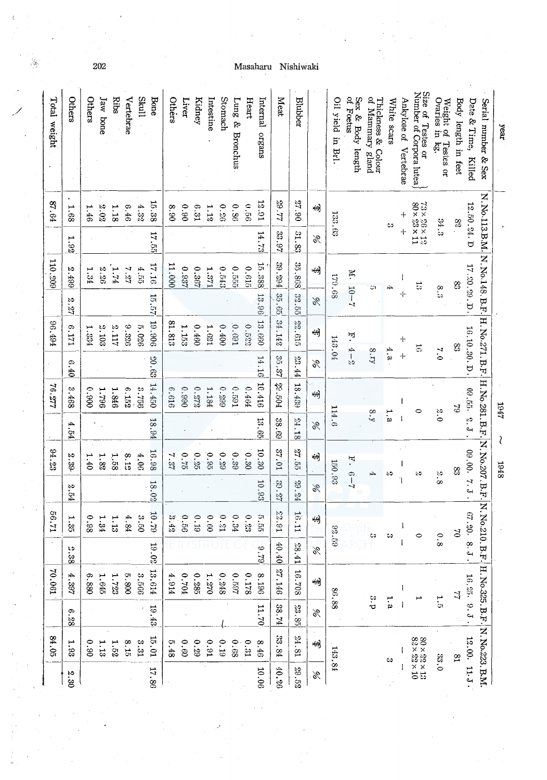|               | 84.05                             |               | 70.061         |                   | 1299                                                                                                  |                  | 84.23            |             | 76.277         |              | 96.494          |                         | 110.209                     |                  | 19.78                                                                           | Total weight                                 |
|---------------|-----------------------------------|---------------|----------------|-------------------|-------------------------------------------------------------------------------------------------------|------------------|------------------|-------------|----------------|--------------|-----------------|-------------------------|-----------------------------|------------------|---------------------------------------------------------------------------------|----------------------------------------------|
| 2.30          | 1.93                              | 6.28          | 4.397          | 0.38              | 1.35                                                                                                  | $2.54\,$         | 2.39             | 4.54        | 3.468          | 6.40         | 6.171           | 2.27                    | 2.499                       | 1.92             | 1.68                                                                            | Others                                       |
|               | 0.90<br>1.13                      |               | 6.880<br>1.645 |                   | 86.0<br>1.34                                                                                          |                  | $1.82\,$<br>1.40 |             | 006.0<br>1.796 |              | 2.103<br>1.334  |                         | 1.34<br>2.26                |                  | $2.02\,$<br>1.46                                                                | Others                                       |
|               | 1.52                              |               | 1.723          |                   | 1.13                                                                                                  |                  | 1.58             |             | 1.846          |              | 2.117           |                         | $\overline{\mathbf{z}}$ .74 |                  | 1.18                                                                            | Ribs<br>Jaw bone                             |
|               | 8.15                              |               | $5.800$        |                   | 4.84                                                                                                  |                  | 8.12             |             | 6.152          |              | 9333            |                         | 7.27                        |                  | 6.46                                                                            | Vertebrae                                    |
|               | 3.31                              |               | 3.566          |                   | 3.50                                                                                                  |                  | 4.06             |             | 3.756          |              | 5.026           |                         | 4.55                        |                  | 4.32                                                                            | <b>Skull</b>                                 |
| 17.86         | 15.01                             | 19.43         | 13.614         | 19.02             | 64'0L                                                                                                 | 18.02            | 16.98            | 18.94       | 14.450         | 0.63         | 19.906          | 15.57                   | 17.16                       | 17.55            | 15.38                                                                           | Bone                                         |
|               | 5.48                              |               | 4.914          |                   | 3.49                                                                                                  |                  | 7.37             |             | 8.616          |              | 81.813          |                         | 11.000                      |                  | 06.8                                                                            | Others                                       |
|               | 0.60                              |               | 107.04         |                   | 0.56                                                                                                  |                  | 0.75             |             | 066.0          |              | 1.153           |                         | 0.937                       |                  | 06.0                                                                            | Liver                                        |
|               | 0.29                              |               | 0.285          |                   | 0.19                                                                                                  |                  | 0.25             |             | 0.272          |              | 0.460           |                         | 0.367                       |                  | 6.31                                                                            | <b>Kidney</b>                                |
|               | 0.91                              |               | 1.270          |                   | 0.60                                                                                                  |                  | 0.95             |             | 1.184          |              | 1.621           |                         | 1.371                       |                  | 1.12                                                                            | Intestine                                    |
|               | 0.19                              |               | 0.248          |                   | $1\%$ 0                                                                                               |                  | 0.29             |             | 0.299          |              | 0.400           |                         | 0.543                       |                  | 0.26                                                                            | Stomach                                      |
|               | 89:0                              |               | 469'0          |                   | $0.34\,$                                                                                              |                  | 0.39             |             | 169.0          |              | $169^\circ$ $0$ |                         | 0.555                       |                  | 0.56                                                                            | Lung &<br><b>Bronchus</b>                    |
|               | 0.31                              |               | 0.178          |                   | 0.23                                                                                                  |                  | 0.30             |             | 0.464          |              | 0.522           |                         | 0.615                       |                  | 99.0                                                                            | Heart                                        |
| 10.06         | 8.46                              | 11.70         | 8.196          | 87.79             | 5.55                                                                                                  | 10.93            | 10.30            | 13.65       | 10.416         | 14.16        | 13.660          | 13.96                   | 15.388                      | 14.73            | 12.91                                                                           | Internal<br>organs                           |
| 40.26         | 33.84                             | 38.74         | 27.146         | 40.40             | 16.23                                                                                                 | 39.27            | 37.01            | 38.69       | 29.504         | 35.37        | 34.142          | 35.65                   | 39.934                      | 33.97            | 77.92                                                                           | Meat                                         |
| 29.52         | $24.81\,$                         | 23.85         | 16.708         | 28.41             | 16.11                                                                                                 | 29.24            | 27.55            | 24.18       | 18.439         | 23.44        | 22.615          | 32.55                   | 35.868                      | 31.83            | 06.28                                                                           | <b>Blubber</b>                               |
| $\mathscr{C}$ | 蚓                                 | %             | (میہ           | %                 | 蚓                                                                                                     | %                | 蚓                | %           | 蚓              | %            | 岣               | %                       | 岣                           | %                | 焖                                                                               |                                              |
|               | 143,84                            |               | 86.88          |                   | 92.59                                                                                                 |                  | 150.93           | 114.6       |                |              | 143.04          |                         | 179.68                      |                  | 133.63                                                                          | Oil yield in Brl.                            |
|               |                                   |               |                |                   |                                                                                                       |                  | $1 - 9 - 1$      |             |                |              | $F - 4 - 2$     |                         | $M. 10 - 7$                 |                  |                                                                                 | of Foetus<br>Sex & Body length               |
|               |                                   | း<br>ပ        |                |                   | ĊЭ                                                                                                    |                  | ∱                | 8.9         |                | 8.ry         |                 |                         | ٥,                          |                  |                                                                                 | of Mammary gland<br>Thickness & Colour       |
|               | ¢٥                                | ب<br>نو       |                |                   | ¢p                                                                                                    |                  | ১৩               | ٦.a         |                | 4.a          |                 |                         | Ĥ                           | ು                |                                                                                 | White scars                                  |
|               |                                   | $\mathbf{I}$  | $\mathbf{I}$   |                   |                                                                                                       |                  | ı                |             |                | $\ddot{}$    | $\frac{1}{4}$   | $\mathbf{1}_\mathbf{f}$ | I                           | $\ddot{\text{}}$ | $^{+}$                                                                          | Ankylose of Vertebrae                        |
|               | $80\times22\times13$ $32\times13$ |               |                |                   | $\circ$                                                                                               |                  | S                | 0           |                |              | $\mathfrak{g}$  |                         | ಜ                           |                  | $\begin{array}{l} 73 \times 23 \times 12 \\ 23 \times 23 \times 11 \end{array}$ | Number of Corpora lutea<br>Size of Testes or |
| 33.0          |                                   | $\frac{1}{2}$ |                | $\overline{8}$ .0 |                                                                                                       | $\frac{2}{3}$ .8 |                  | 3.0         |                | 7.0          |                 | $\frac{8}{3}$           |                             | 34.3             |                                                                                 | Weight of Testes or<br>Ovaries in kg.        |
|               | $^{18}$                           |               | 4              |                   | $\alpha$                                                                                              |                  | 83               |             | $\mathfrak{S}$ |              | E               |                         | Š                           |                  | 82                                                                              | Body length in feet                          |
|               | 12.00. 11.J.                      |               | 16.25. 9.J.    |                   | 67.20. 8. J                                                                                           |                  | 09.00. $7. J.$   | 09.55. 2.J. |                | 16.10.30. D. |                 |                         | 17.20.29.D.                 |                  | 12.50.24.D                                                                      | Date & Time, Killed                          |
|               | H No.325. B.F. N. No.223. B.M.    |               |                |                   | N, No.113, B.M.   N, No.148, B.F.   H, No.271, B.F.   H, No.281, B.F.   N, Z0.207, B.F.   N, Z10, B.F |                  |                  |             |                |              |                 |                         |                             |                  |                                                                                 | Serial number & Sex                          |
|               |                                   |               |                |                   |                                                                                                       |                  | 8761             | S           | 17847          |              |                 |                         |                             |                  |                                                                                 | year                                         |

Ş

Masaharu Nishiwaki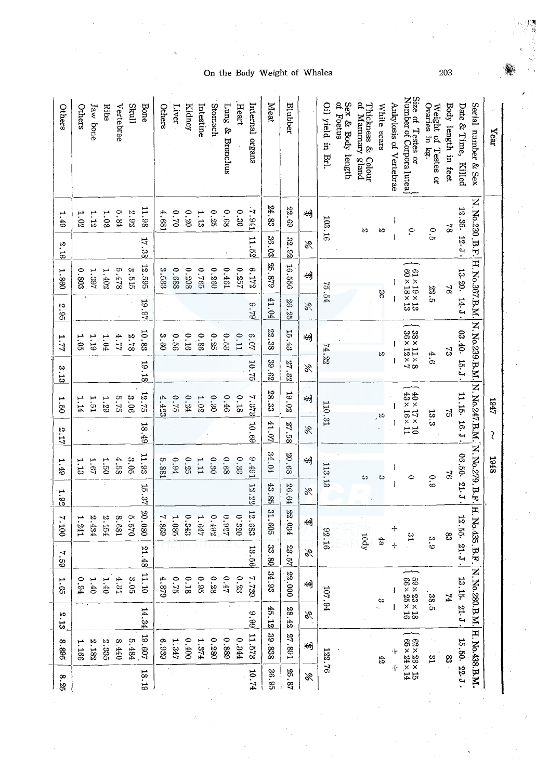| 8.25                      | 8.865                                                    | 2.13  | 1.65                                                                             | 7.59          | 7.100                                                                                                | 1.92          | 1.49                    | 2.17  | 1.50                                                 | 3.13  | 1.77                                               | 3.95         | 1.860                                                                           | 2.16          | 1.49        | Others                                                   |
|---------------------------|----------------------------------------------------------|-------|----------------------------------------------------------------------------------|---------------|------------------------------------------------------------------------------------------------------|---------------|-------------------------|-------|------------------------------------------------------|-------|----------------------------------------------------|--------------|---------------------------------------------------------------------------------|---------------|-------------|----------------------------------------------------------|
|                           | 1.166                                                    |       | 0.94                                                                             |               | 1.241                                                                                                |               | 1.13                    |       | 1.14                                                 |       | 1.05                                               |              | 0.803                                                                           |               | 1.02        | Others                                                   |
|                           | 2.182                                                    |       | 1.40                                                                             |               | 2.434                                                                                                |               | $1.67$                  |       | 1.51                                                 |       | 1.19                                               |              | 1.397                                                                           |               | 1.12        | Jaw bone                                                 |
|                           | 2.335                                                    |       | 1.40                                                                             |               | 2.154                                                                                                |               | 1.50                    |       | 1.29                                                 |       | 1.04                                               |              | 1.402                                                                           |               | 1.08        | <b>Ribs</b>                                              |
|                           | 8.440                                                    |       | 4.31                                                                             |               | 189.8                                                                                                |               | 4.58                    |       | 5.75                                                 |       | 4.77                                               |              | 5.478                                                                           |               | 5.84        | Vertebrae                                                |
|                           | 5.484                                                    |       | $3.05\,$                                                                         |               | 042.9                                                                                                |               | $3.05$                  |       | 3.06                                                 |       | 2.78                                               |              | 3.515                                                                           |               | $2.92\,$    | <b>Skull</b>                                             |
| 18.19                     | 10.607                                                   | 14.34 | 11.10                                                                            | 21.48         | 20.080                                                                                               | 18.37         | 11.93                   | 18.49 | 12.75                                                | 19.18 | 10.83                                              | 19.97        | 12.595                                                                          | 17.38         | 11.98       | Bone                                                     |
|                           | 6.939                                                    |       | 4.879                                                                            |               | 698.7                                                                                                |               | 5.881                   |       | 4.423                                                |       | 3.60                                               |              | 3.533                                                                           |               | 4.681       | Others                                                   |
| $\overline{\mathbb{R}}_p$ | 1.347                                                    |       | 0.75                                                                             |               | 1.085                                                                                                |               | 0.94                    |       | $0.75$                                               |       | 99.0                                               |              | 0.688                                                                           |               | 0.70        | Liver                                                    |
|                           | $00+00$                                                  |       | 0.18                                                                             |               | 0.343                                                                                                |               | 0.25                    |       | 0.24                                                 |       | 0.16                                               |              | 80%                                                                             |               | 0.20        | Kidney                                                   |
|                           | 1.374                                                    |       | 0.95                                                                             |               | 1.647                                                                                                |               | 1.11                    |       | 1.02                                                 |       | 0.86                                               |              | 0.765                                                                           |               | 1.13        | Intestine                                                |
|                           | 0.280                                                    |       | 0.28                                                                             |               | 0.492                                                                                                |               | 0.30                    |       | 0.30                                                 |       | 0.25                                               |              | 0.260                                                                           |               | 0.25        | Stomach                                                  |
|                           | 0.889                                                    |       | 0.47                                                                             |               | 458.0                                                                                                |               | 0.68                    |       | 0.46                                                 |       | 0.53                                               |              | 0.461                                                                           |               | 89.0        | Lung &<br><b>Bronchus</b>                                |
|                           | 0.344                                                    |       | 0.23                                                                             |               | 028.0                                                                                                |               | 0.33                    |       | 0.18                                                 |       | 0.11                                               |              | 0.257                                                                           |               | 0.30        | Heart                                                    |
| 10.74                     | 11.573                                                   | 9.98  | 682.7                                                                            | 13.56         | 12.683                                                                                               | 12.22         | 167.6                   | 10.69 | 7.373                                                | 10.75 | 10.9                                               | 62.6         | 6.172                                                                           | 11.52         | 1.941       | Internal<br>organs                                       |
| 36.95                     | 39.838                                                   | 45.12 | 34.93                                                                            | 33.80         | 31.605                                                                                               | 43.85         | 34.04                   | 41.07 | 28.33                                                | 39.62 | 22.38                                              | 41.04        | 25.879                                                                          | 36.03         | 24.83       | Meat                                                     |
| 25.87                     | 168.7%                                                   | 28.42 | 22.000                                                                           | 23.57         | 22.034                                                                                               | 26.64         | 20.68                   | 27.58 | 19.02                                                | 27.32 | 15.43                                              | 26.25        | 16.556                                                                          | 32.92         | 22.69       | <b>Blubber</b>                                           |
| %                         | ುಳ್ತಾ                                                    | %     | 煳                                                                                | %             | 蚓                                                                                                    | $\%$          | 蚂                       | %     | 蚓                                                    | %     | -69                                                | %            | 岎                                                                               | %             | 蚓           |                                                          |
|                           | 122.76                                                   |       | 107.94                                                                           |               | 92.16                                                                                                |               | 113.13                  |       | 110.31                                               | 74.22 |                                                    |              | 75.54                                                                           |               | 103.16      | Oil yield in Brl.                                        |
|                           |                                                          |       |                                                                                  |               |                                                                                                      |               |                         |       |                                                      |       |                                                    |              |                                                                                 |               |             | of Foetus<br>Sex & Body length                           |
|                           |                                                          |       |                                                                                  |               | 10dy                                                                                                 |               | $\mathbb{C} \mathbb{I}$ |       |                                                      |       |                                                    |              |                                                                                 |               | ১৩          | of Mannary<br>Thickness &<br>pue <sub>18</sub><br>Colour |
|                           | 42                                                       |       | $\ddot{\mathbf{c}}$                                                              |               | łа                                                                                                   |               | C                       |       | $\sim$                                               |       | S                                                  | 3c           |                                                                                 |               | S           | White scars                                              |
| $\ddot{}$                 |                                                          |       |                                                                                  | $\ddot{\tau}$ | $\ddot{\phantom{1}}$                                                                                 |               | ł                       |       |                                                      | I.    |                                                    | $\mathbf{I}$ |                                                                                 |               | ł           | Ankylosis of Vertebrae                                   |
|                           | $(62 \times 26 \times 21)$<br>$(65 \times 24 \times 14)$ |       | $\begin{bmatrix} 59 \times 23 \times 18 \\ 66 \times 25 \times 16 \end{bmatrix}$ |               | $\mathbf{a}$                                                                                         |               | $\bullet$               |       | $18 \times 12 \times 10$<br>$18 \times 16 \times 11$ |       | $38 \times 11 \times 8$<br>$36 \times 12 \times 7$ |              | $\begin{array}{l} 61 \times 19 \times 13 \\ 60 \times 18 \times 13 \end{array}$ |               | 9.          | Size of Testes or<br>Number of Corpora lutea             |
|                           | $\mathfrak{B}$                                           |       | 38.5                                                                             | es.es         |                                                                                                      | $\frac{6}{6}$ |                         | 3.3   |                                                      | 4.6   |                                                    | 22.5         |                                                                                 | $\frac{1}{2}$ |             | Ovaries in kg.<br>Weight of Testes or                    |
|                           | 8                                                        |       | 74                                                                               |               | $\infty$                                                                                             |               | $\mathfrak{D}$          |       | $\mathbb{Z}$                                         |       | $\mathbb{Z}$                                       |              | $\mathcal{C}$                                                                   |               | 82          | Body length in feet                                      |
|                           | 15.50. 22.J                                              |       | 13.15 21.J.                                                                      |               | 12.55-21.J                                                                                           |               | 06.50. 21.J             |       | 11.15 16.J                                           |       | 03.40.15.J                                         |              | 13.20. 14.J.                                                                    |               | 12.35, 12.J | Date & Time, Killed                                      |
|                           | N. No.280.B.M. H. No.438.B.M.                            |       |                                                                                  |               | И 2013/03/30 H.T. H. No.2009 H.N. No.2009 H.N. No.2009 H.N. No.2009 H.N. H. No.2009 H.N. No.2009 H.N |               |                         |       |                                                      |       |                                                    |              |                                                                                 |               |             | Serial number & Sex                                      |
|                           |                                                          |       |                                                                                  |               |                                                                                                      |               | 1948                    | ₹     | 17847                                                |       |                                                    |              |                                                                                 |               |             | Year                                                     |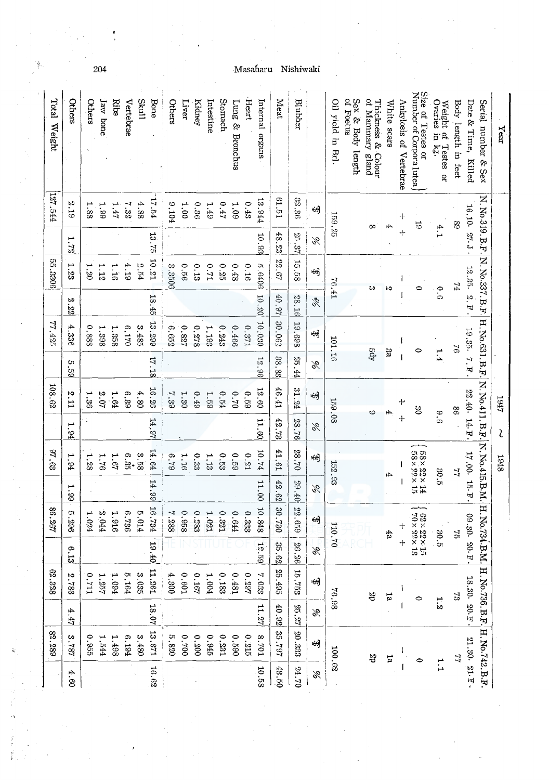|              | 82.289                          |       | 62.328            |              | 86.267                                         |               | 97.63                                                                           |             | 108.62   |                 | 77.425 |                  | 55.3306                                         |                  | 127.544   | Total Weight                                 |
|--------------|---------------------------------|-------|-------------------|--------------|------------------------------------------------|---------------|---------------------------------------------------------------------------------|-------------|----------|-----------------|--------|------------------|-------------------------------------------------|------------------|-----------|----------------------------------------------|
| 4.60         | 3.787                           | 4.47  | 82.786            | 6.13         | 5.296                                          | 1.99          | 1.94                                                                            | 1.94        | 2.11     | ্য<br>69        | 4.336  | N<br>$\ddot{22}$ | 1.23                                            | 2.72             | 2.19      | Others                                       |
|              | 0.955                           |       | 114'0             |              | 1.024                                          |               | 1.28                                                                            |             | 330      |                 | 0.888  |                  | 1.20                                            |                  | 1.88      | Others                                       |
|              | 1 544                           |       | 1.257             |              | 2.044                                          |               | 92.1                                                                            |             | $2.07\,$ |                 | 1.398  |                  | 1.12                                            |                  | 1.99      | Jaw bone                                     |
|              | 1.498                           |       | F60 <sup>-1</sup> |              | 1.916                                          |               | 1.67                                                                            |             | 1.64     |                 | 1.358  |                  | 1.16                                            |                  | 1.47      | Ribs                                         |
|              | 6.194                           |       | 5.164             |              | 922.9                                          |               | 6.35                                                                            |             | 6.39     |                 | 6.170  |                  | 4.19                                            |                  | 7.32      | Vertebrae                                    |
|              | 3.480                           |       | $3.035$           |              | 5.014                                          |               | 3.58                                                                            |             | 4.80     |                 | 3.485  |                  | 2.54                                            |                  | 4.88      | Skul1                                        |
| 16.62        | 13.671                          | 18.07 | $195^{\circ}$     | 19.40        | 16,734                                         | 14.99         | 14.64                                                                           | 14.97       | 16.26    | 17.18           | 13.299 | 18.45            | $10.21\,$                                       | 13.75            | 17.54     | Bone                                         |
|              | 5.820                           |       | 4.300             |              | 7.288                                          |               | 6.79                                                                            |             | 7.39     |                 | 6.652  |                  | 3.3506                                          |                  | 9.104     | Others                                       |
|              | 002.0                           |       | 0.601             |              | 0.958                                          |               | 1.16                                                                            |             | 1.30     |                 | 0.827  |                  | 0.56                                            |                  | 1.00      | Liver                                        |
|              | 0.200                           |       | 0.167             |              | 0.283                                          |               | 0.33                                                                            |             | 0.49     |                 | 843.0  |                  | 0.13                                            |                  | $0.36$    | Kidney                                       |
|              | 0.945                           |       | 1.004             |              | 1.021                                          |               | 1.13                                                                            |             | 1.59     |                 | 1.193  |                  | $L1.0$                                          |                  | 1.49      | Intestine                                    |
|              | 0.231                           |       | 81.0              |              | 0.321                                          |               | 0.53                                                                            |             | 0.54     |                 | 0.243  |                  | $0.25\,$                                        |                  | 0.47      | Stomach                                      |
|              | 0.590                           |       | 0.481             |              | 0.644                                          |               | 62.0                                                                            |             | 0.70     |                 | 0.466  |                  | 0.48                                            |                  | $60\,1$   | Lung &<br>Bronchus                           |
|              | 0.215                           |       | 0.297             |              | 0.333                                          |               | 0.21                                                                            |             | 0.59     |                 | 0.371  |                  | 0.16                                            |                  | 0.43      | Heart                                        |
| 10.58        | 102.8                           | 11.27 | 2.033             | 12.59        | 10.848                                         | 11.00         | 10.74                                                                           | 11.60       | 12.60    | 12.96           | 10:030 | 10.20            | 5.6406                                          | 10.93            | 13.944    | Internal organs                              |
| 43.50        | 267.797                         | 40.92 | 25.495            | 35.62        | 30.730                                         | 42.62         | 41.61                                                                           | 42.73       | 46.41    | 38.83           | 30.062 | 40.97            | 22.67                                           | 48.23            | 12.51     | Meat                                         |
| 94.70        | 20.333                          | 25.27 | 15.753            | 26.26        | 22.659                                         | 29.40         | 28.70                                                                           | 28.76       | 31.24    | 25.44           | 19.698 | 28.16            | 15.58                                           | 25.37            | 33.36     | <b>Blubber</b>                               |
| %            | 岣                               | %     | 峢                 | %            | 岣                                              | P             | 烟                                                                               | %           | ₩θ       | %               | 峢      | r<br>10          | 蚓                                               | %                | 屻         |                                              |
|              | 100.02                          |       | 76.98             |              | 110.70                                         |               | 152.93                                                                          |             | 159.08   |                 | 101.16 | 19.41            |                                                 |                  | 159.25    | Oil yield in Brl                             |
|              |                                 |       |                   |              |                                                |               |                                                                                 |             |          |                 |        |                  |                                                 |                  |           | of Foetus<br>Sex & Body length               |
|              | ď                               |       | ďő                |              |                                                |               |                                                                                 | అ           |          | gdy             |        |                  | ು                                               | $\infty$         |           | of Mammary<br>Thickness &<br>gland<br>Colour |
|              | 1a                              |       | Įa                |              | łа                                             |               | Æ                                                                               | 4           |          | 3á              |        | P,               |                                                 | Ŧ                |           | White scars                                  |
|              | J                               | 1     | I                 | +            | $\ddot{}$                                      |               |                                                                                 |             | ┿        |                 |        |                  |                                                 | $\ddot{\text{}}$ | $\dot{+}$ | Ankylosis of Vertebrae                       |
| $\bullet$    |                                 |       | $\bullet$         |              | $62\times22\times15$ $\times13$                |               | $\begin{array}{l} 58 \times 22 \times 14 \\ 58 \times 22 \times 15 \end{array}$ |             | ೪        | 0               |        |                  | $\bullet$                                       |                  | 51        | Size of Testes or<br>Number of Corpora lutea |
| ب<br>ح       |                                 | 1.2   |                   | 30.5         |                                                | 30.5          |                                                                                 | 9.6         |          | $\frac{1}{4}$ . |        | $\ddot{0}$ .6    |                                                 | 4.1              |           | Ovaries in kg.<br>Weight of Testes or        |
|              | $\overline{u}$                  |       | $\mathbb{S}^2$    |              | $\mathbb{Z}$                                   |               | 77                                                                              |             | 88       |                 | 94     |                  | 74                                              |                  | 88        | Body length in feet                          |
| 21.30. 21.F. |                                 |       | 18.30. 20. F      | 09.30. 20.F. |                                                | 17.00. 15. F. |                                                                                 | 22.40. 14 F |          | 19.35. 7 F      |        | 12.35.2. T.      |                                                 | 16.10 27.J       |           | Date & Time, Killed                          |
|              | H. No.736. B.F. H. No.742. B.F. |       |                   |              | N. No.411. B.F. N. No.415.B.M. H. No.734. B.M. |               |                                                                                 |             |          |                 |        |                  | N. No.319. B.F. N. No.337. B.F. H. No.337. B.F. |                  |           | Serial number & Sex                          |
|              |                                 |       |                   |              |                                                |               | 8761                                                                            | S           | 17947    |                 |        |                  |                                                 |                  |           | Year                                         |

ą

Masaharu Nishiwaki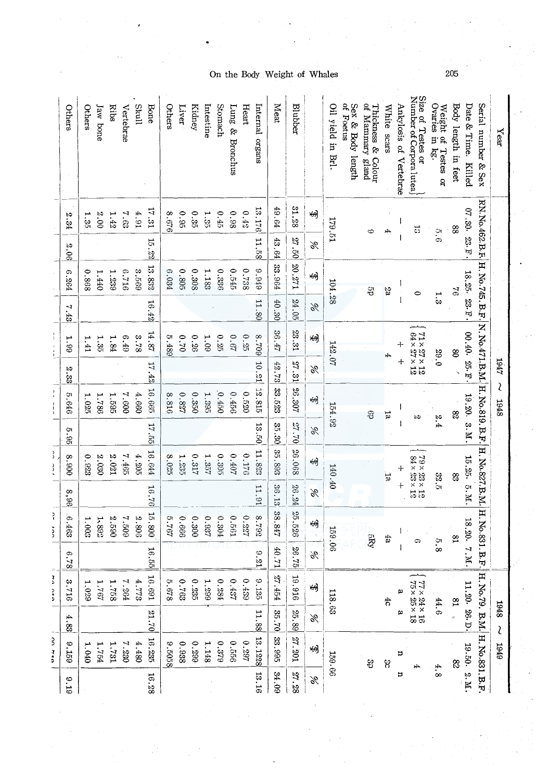|       | <b>DD 420</b>                  |                        | こナン フユ                                                                          |               | ì<br>š                                                                |                      | $\frac{3}{2}$<br>ì                                                              |                   | $\ddot{\cdot}$<br>$\frac{1}{4}$ |              | ì<br>$\frac{1}{2}$                   |                 |                                      |               |                      |                                                         |
|-------|--------------------------------|------------------------|---------------------------------------------------------------------------------|---------------|-----------------------------------------------------------------------|----------------------|---------------------------------------------------------------------------------|-------------------|---------------------------------|--------------|--------------------------------------|-----------------|--------------------------------------|---------------|----------------------|---------------------------------------------------------|
| 613   | 8.159                          | 4.83                   | 3.718                                                                           | 6.78          | 6.463                                                                 | ∞<br>$\frac{36}{36}$ | 8.900                                                                           | CT.<br>$\ddot{9}$ | 5.646                           | S<br>ės.     | H<br>$\ddot{\text{e}}$               | 4<br>$\ddot{3}$ | 6.264                                | Y)<br>90.     | $2.34\,$             | Others                                                  |
|       | 1.040                          |                        | 1.029                                                                           |               | 1.003                                                                 |                      | 0.923                                                                           |                   | 1.025                           |              | 1.41                                 |                 | 0.868                                |               | 1.35                 | Others                                                  |
|       | 1.754                          |                        | 1.767                                                                           |               | 1,892                                                                 |                      | 2.030                                                                           |                   | 1.786                           |              | 1.35                                 |                 | 1.440                                |               | 9.00                 | Jaw bone                                                |
|       | 1.731                          |                        | 1.758                                                                           |               | 2.590                                                                 |                      | $2.021\,$                                                                       |                   | 1.595                           |              | 1.84                                 |                 | 1.239                                |               | 1.42                 | Ribs                                                    |
|       | 7.230                          |                        | 7.264                                                                           |               | 609.2                                                                 |                      | 7.465                                                                           |                   | 7.600                           |              | 6.49                                 |                 | 914'9                                |               | 7.63                 | Vertebrae                                               |
|       | 4.480                          |                        | 4.773                                                                           |               | 2.806                                                                 |                      | 4.205                                                                           |                   | 4.660                           |              | 87.3                                 |                 | 899'8                                |               | 4.91                 | <b>Skull</b>                                            |
| 16.28 | 16.235                         | 21.70                  | 16.691                                                                          | 16.55         | 15.800                                                                | 16.76                | 16.644                                                                          | 17.55             | 16.665                          | 17.42        | 14.87                                | 16.42           | 13.832                               | 15.22         | $17.31$              | Bone                                                    |
|       | 8.5058                         |                        | 878.5                                                                           |               | 5.767                                                                 |                      | 8.025                                                                           |                   | 8.816                           |              | 5.489                                |                 | 6.034                                |               | 8.676                | Others                                                  |
|       | 0.938                          |                        | 897.0                                                                           |               | 0.666                                                                 |                      | 1.235                                                                           |                   | 0.827                           |              | 0.70                                 |                 | 0.805                                |               | 0.95                 | Liver                                                   |
|       | 0.299                          |                        | $0.235\,$                                                                       |               | 0.300                                                                 |                      | 0.317                                                                           |                   | 0.350                           |              | 0.26                                 |                 | 808.0                                |               | $0.35\,$             | Kidney                                                  |
|       | 1.148                          |                        | 1.299                                                                           |               | 0.937                                                                 |                      | 1.357                                                                           |                   | 1.395                           |              | 1.09                                 |                 | 1.183                                |               | 1.35                 | Intestine                                               |
|       | 6229                           |                        | 0.284                                                                           |               | 0.304                                                                 |                      | 0.305                                                                           |                   | 0.450                           |              | 0.25                                 |                 | 0.336                                |               | 0.45                 | Stomach                                                 |
|       | 0.556                          |                        | 0.437                                                                           |               | 0.561                                                                 |                      | 0.407                                                                           |                   | 0.456                           |              | 0.67                                 |                 | 0.545                                |               | 0.98                 | Lung &<br>Bronchus                                      |
|       | $16\%$ 0                       |                        | 0.439                                                                           |               | 0.227                                                                 |                      | 0.176                                                                           |                   | 0.520                           |              | $0.25\,$                             |                 | 884.0                                |               | 0.42                 | Heart                                                   |
| 13.16 | 13.1228                        | 11.88                  | 9.135                                                                           | 9.21          | 8.792                                                                 | 11.91                | 11.823                                                                          | 13.50             | 12.815                          | 10.21        | 604'8                                | 11.80           | 676.6                                | 11.58         | 13.176               | Internal organs                                         |
| 84.09 | 33.995                         | 35.70                  | 27.454                                                                          | 17.04         | 38.847                                                                | 36.13                | 35.893                                                                          | 35.30             | 33.523                          | 42.73        | 36.47                                | 40.30           | 33.964                               | 43.64         | 49.64                | Meat                                                    |
| 27.28 | 27.201                         | 25.89                  | 19.916                                                                          | 26.75         | 25.526                                                                | 26.24                | 26.068                                                                          | 27.70             | 26.307                          | 27.31        | 23.31                                | 24.05           | $20.271\,$                           | 27.50         | 31.28                | <b>Blubber</b>                                          |
| %     | 蚓                              | %                      | 蚓                                                                               | %             | 蚓                                                                     | %                    | 蚓                                                                               | %                 | 蚓                               | $\%$         | 焖                                    | %               | 烟                                    | %             | 蚓                    |                                                         |
|       | 159.66                         |                        | 118.63                                                                          |               | 159.06                                                                |                      | 140.40                                                                          |                   | 154.92                          |              | 142.07                               |                 | 104.28                               |               | 179.51               | Oil yield in Brl.                                       |
|       |                                |                        |                                                                                 |               |                                                                       |                      |                                                                                 |                   |                                 |              |                                      |                 |                                      |               |                      | Sex & Body length<br>of Foetus                          |
|       | $\mathbb{S}$                   |                        |                                                                                 |               | SRy                                                                   |                      |                                                                                 |                   | e                               |              |                                      |                 | đg                                   |               | G                    | of Mammary gland<br>Thickness &<br>Colour               |
|       | မွ                             |                        | 4c                                                                              |               | łа                                                                    |                      | ŗά                                                                              |                   | ă                               | А            |                                      |                 | $\mathbf{z}_2$                       |               | 4                    | White scars                                             |
| Þ     | Þ                              | ω                      | ω                                                                               |               | $\mathsf{I}$                                                          | $\ddot{}$            | $\ddagger$                                                                      |                   | ł                               | $\ddot{}$    | ┿                                    |                 | $\mathbf{I}$                         | ı             | ł                    | Ankylosis of Vertebrae                                  |
|       | ⊬                              |                        | $\begin{array}{l} 77 \times 24 \times 16 \\ 75 \times 25 \times 18 \end{array}$ |               | $\circ$                                                               |                      | $\begin{array}{l} 79 \times 23 \times 12 \\ 84 \times 23 \times 12 \end{array}$ |                   | S                               |              | $64 \times 27 \times 12$<br>71×72×17 |                 | $\bullet$                            |               | $\vec{c}$            | Size of Testes or $\sum_{\text{Number of Corporation}}$ |
| 4.8   |                                | 44.6                   |                                                                                 | $\frac{3}{8}$ |                                                                       | 32.5                 |                                                                                 | 2.4               |                                 | 29.0         |                                      | بر<br>ون        |                                      | $\frac{6}{9}$ |                      | Ovaries in kg.<br>Weight of Testes or                   |
|       | 82                             | $\frac{1}{\sigma}$     | 58                                                                              |               | $\mathbf{g}$                                                          |                      | 8                                                                               |                   | 82                              |              | $\infty$                             |                 | 9/2                                  |               | 88                   | Body length in feet                                     |
|       | 19.50. 2. M.                   | 11.20. 26.D.           |                                                                                 |               | 18.20. 7.M.                                                           | 15.25. 5.M.          |                                                                                 |                   | 19.20. 3. M                     | 00.40. 25. F |                                      |                 | 18.25 23. F                          |               | $07.30.23 \text{ F}$ | Date & Time. Killed                                     |
|       | H. No.79. B.M. H. No.831. B.F. |                        |                                                                                 |               | N. No. 471. B.M. H. No. 819. B. F. H. No. 827. B.M. H. No. 831. B. F. |                      |                                                                                 |                   |                                 |              |                                      |                 | RN. No. 462. B. F. H. No. 745. B. F. |               |                      | Serial number & Sex                                     |
|       | 1949                           | 8761<br>$\mathfrak{c}$ |                                                                                 |               |                                                                       |                      |                                                                                 |                   | ι<br>8761                       | 1947         |                                      |                 |                                      |               |                      | $\mathbf{Y}\mathbf{e}\mathbf{a}$                        |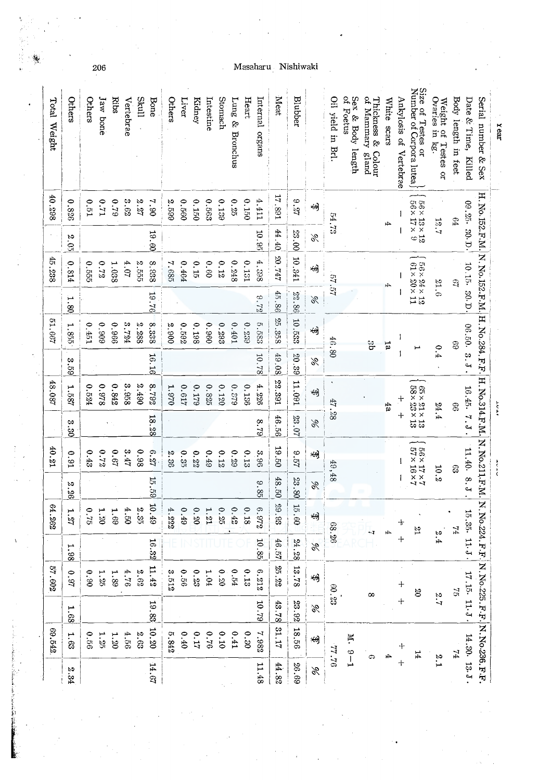| Total Weight | Others                 | Others | Jaw bone  | Ribs  | Vertebrae | <b>Skull</b> | Bone  | Others    | Liver | Kidney   | Intestine | Stomach  | $\frac{1}{2}$ gun<br>T<br>Bronchus | Heart | Internal<br>organs | Meat   | Blubber |      | Oil yield in Brl | Sex & Body length<br>of Foetus | of Mammary gland<br>Thickness &<br>Colour | White scars | Ankylosis of Vertebrae   | Size of Testes or $\lim_{\Delta x \to 0}$                                       | Ovaries in kg.<br>Weight of Testes or | Body length in feet | Date & Time,<br>Killed | Serial number & Sex                                        | <b>Year</b>   |
|--------------|------------------------|--------|-----------|-------|-----------|--------------|-------|-----------|-------|----------|-----------|----------|------------------------------------|-------|--------------------|--------|---------|------|------------------|--------------------------------|-------------------------------------------|-------------|--------------------------|---------------------------------------------------------------------------------|---------------------------------------|---------------------|------------------------|------------------------------------------------------------|---------------|
| 40.298       | 0.826                  | 0.51   | 17.0      | 67.9  | 3.62      | $2.27\,$     | 06.2  | 2.599     | 0.560 | 0.150    | 0.563     | 0.139    | 0.25                               | 0.150 | 4.411              | 17.891 | 46.9    | 峢    |                  |                                |                                           |             |                          | $\begin{pmatrix} 56 \times 13 \times 12 \\ 56 \times 17 \times 9 \end{pmatrix}$ |                                       | ₽9                  |                        |                                                            |               |
|              | b.<br>$-62$            |        |           |       |           |              | 19.60 |           |       |          |           |          |                                    |       | 10.95              | 44.40  | 23.00   | %    | S4.73            |                                |                                           | Æ           |                          |                                                                                 | 12.7                                  |                     | 09.25. 30.D.           |                                                            |               |
| 45.238       | 0.814                  | 0.555  | 272       | 1.038 | 4.07      | 2.555        | 8.938 | 7.685     | 0.464 | 0.15     | 0.60      | 0.12     | 0.248                              | 0.131 | 4.598              | 20.747 | 10.341  | 蚓    |                  |                                |                                           |             |                          | $56 \times 24 \times 12$<br>(dx 20 x 11                                         |                                       | 3                   |                        |                                                            |               |
|              | 1.80                   |        |           |       |           |              | 19.76 |           |       |          |           |          |                                    |       | 872                | 45.86  | 22.86   | %    | 57.57            |                                |                                           |             | $\overline{\phantom{a}}$ |                                                                                 | 21.6                                  |                     | 10.15. 30.D.           |                                                            |               |
| 51.667       | 1.855                  | 0.461  | 606.0     | 0.966 | 5.724     | 2.288        | 8.338 | $2.900\,$ | 0.592 | 0.198    | 0.960     | 0.293    | 0.401                              | 0.239 | 5.583              | 25.358 | 10.533  | 岣    |                  |                                | ဗို                                       | 급           | I                        |                                                                                 |                                       | 69                  | 06.50.3.J              | H.N. Ro. 152. F.M. N. No. 252. E.M. H. N. P. N. 284. F. P. |               |
|              | $\omega$<br>$\ddot{5}$ |        |           |       |           |              | 16.16 |           |       |          |           |          |                                    |       | 10.78              | 49.08  | 20.39   | %    | 46.80            |                                |                                           |             | 1                        | $\overline{\phantom{a}}$                                                        | 0.4                                   |                     |                        |                                                            |               |
| 48.087       | 1.587                  | 0.524  | 846.0     | 0.842 | 3.958     | 2.490        | 8.792 | 1.970     | 0.617 | 0.179    | 0.825     | 0.120    | 6230                               | 0.156 | 4.226              | 22.391 | 11.091  | 蚓    | 47               |                                |                                           | łа          | $\pm$                    | $65 \times 21 \times 13$<br>$58 \times 23 \times 13$                            |                                       | 99                  |                        |                                                            | $\frac{1}{2}$ |
|              | 3.30                   |        |           |       |           |              | 18.28 |           |       |          |           |          |                                    |       | 8.79               | 46.56  | 23.07   | %    | $-28$            |                                |                                           |             | $\ddot{}$                |                                                                                 | 24.4                                  |                     | 16.45. 7. J.           |                                                            |               |
| 40.21        | 0.91                   | 0.43   | 0.72      | 0.67  | 3.47      | 0.98         | 6.27  | 2.36      | 0.35  | 0.22     | 0.49      | 0.12     | 0.29                               | 0.13  | 3.96               | 19.50  | 29.6    | 岣    | 49,48            |                                |                                           |             |                          | $2 \times 12 \times 12$<br>$1 \times 16 \times 12$                              |                                       | 3                   | 11.40.8.J              |                                                            | $\frac{1}{2}$ |
|              | 2.26                   |        |           |       |           |              | 15.59 |           |       |          |           |          |                                    |       | 9.85               | 48.50  | 23.80   | %    |                  |                                |                                           |             |                          |                                                                                 | 10.2                                  |                     |                        |                                                            |               |
| 64.262       | 1.27                   | 0.75   | $0\%$ : I | 1.69  | 4.50      | $2.35\,$     | 10.49 | 4.222     | 0.49  | $0.20\,$ | 1.21      | $0.25\,$ | 0.42                               | 0.18  | 8.972              | 29.93  | 15.60   | 蚓    | 68.26            |                                | ч                                         | Æ,          | ╈                        | $\frac{2}{3}$                                                                   |                                       | 74                  |                        | H.No.314.F.M. N.No.211.F.M. No.224. F.F                    |               |
|              | 1.98                   |        |           |       |           |              | 16.32 |           |       |          |           |          |                                    |       | 10.85              | 46.57  | 24.28   | $\%$ |                  |                                |                                           |             | ┿                        |                                                                                 | 2.4                                   |                     | 15.35.11.J.            |                                                            |               |
| 57.602       | $0.97\,$               | 0.90   | 1.25      | 1.89  | 92.76     | $2.62\,$     | 11.42 | 3.512     | 0.56  | $0.23\,$ | $1.04\,$  | $0.20$   | 6.54                               | 0.13  | 6.212              | 25.22  | 13.78   | 蚓    | 60.23            |                                | œ                                         |             | $+$                      | $\infty$                                                                        |                                       | $\tilde{c}$         | 17.15, 11.J            |                                                            |               |
|              | 1.68                   |        |           |       |           |              | 19.83 |           |       |          |           |          |                                    |       | 64'0I              | 43.78  | 23.92   | %    |                  |                                |                                           |             |                          |                                                                                 | $7.7\,$                               |                     |                        |                                                            |               |
| 69.542       | 1.63                   | 0.56   | 1.25      | 05.1  | 4.56      | $2.63\,$     | 10.20 | 2.842     | 0.40  | $0.17$   | 92.0      | 0.10     | 0.41                               | 0.30  | 7.982              | 31.17  | 18.56   | 169  | 92.22            | $M. 9 - 1$                     |                                           | 4           | $+$                      | 14                                                                              |                                       | 74                  |                        | N. No.225. F.F. N. No.236. F.F.                            |               |
|              | 3.34                   |        |           |       |           |              | 14.67 |           |       |          |           |          |                                    |       | 11.48              | 44.82  | 26.69   | %    |                  |                                | ¢                                         |             |                          |                                                                                 | $\frac{2}{3}.1$                       |                     | 14.30, 13. J           |                                                            |               |

Masaharu Nishiwaki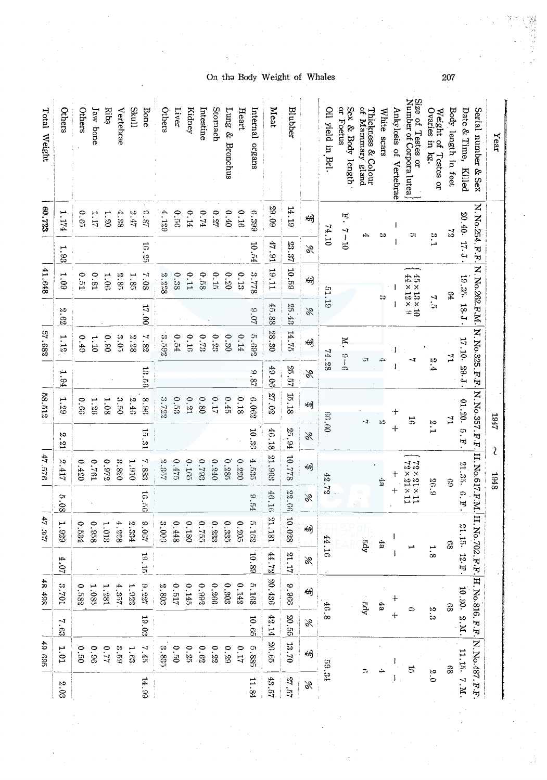|             | 49.695                     |             | 48.498     |       | 47.987                         |              | 47.576                                                                           |               | 58.512         |               | 57.682       |        | 41.648                      |            | 80.723          | Total Weight                                           |
|-------------|----------------------------|-------------|------------|-------|--------------------------------|--------------|----------------------------------------------------------------------------------|---------------|----------------|---------------|--------------|--------|-----------------------------|------------|-----------------|--------------------------------------------------------|
| $2.03\,$    | 1.01                       | 7.63        | 3.701      | 4.07  | 6361                           | 5.08         | 2.417                                                                            | 2.21          | 1.29           | 1.94          | 1.12         | 2.62   | 0.09                        | 1.93       | 1.174           | Others                                                 |
|             | 0.50                       |             | 0.582      |       | 0.534                          |              | 0.420                                                                            |               | 9.66           |               | 0.49         |        | 0.51                        |            | 0.65            | Others                                                 |
|             | 96.96                      |             | 1.085      |       | 0.958                          |              | 194'0                                                                            |               | 1.26           |               | 1.10         |        | 0.81                        |            | 1.17            | Jaw bone                                               |
|             | $L\!L$ 0                   |             | 1.281      |       | 1.013                          |              | 646.0                                                                            |               | 1.08           |               | 06.0         |        | 1.06                        |            | 1.20            | Ribs                                                   |
|             | 3.59                       |             | 4.357      |       | 4.228                          |              | 9.820                                                                            |               | 3.50           |               | 3.0.5        |        | $2.85$                      |            | 4.38            | Vertebrae                                              |
|             | 1.63                       |             | 88671      |       | $2.334\,$                      |              | 016.1                                                                            |               | 2.46           |               | 2.28         |        | 1.85                        |            | $2.47\,$        | <b>Skull</b>                                           |
| 14.99       | 7.45                       | 19.03       | 9.227      | 10.15 | $400^\circ$ 6                  | 0.56         | 7.883                                                                            | 15.31         | 96.8           | 13.56         | $7.82$       | 17.00  | 7.08                        | 16.25      | 9.87            | Bone                                                   |
|             | 3.835                      |             | $2.803\,$  |       | 3.006                          |              | 2.357                                                                            |               | 3.722          |               | 3.592        |        | 2.228                       |            | 4.199           | Others                                                 |
|             | 0.50                       |             | 0.517      |       | 0.448                          |              | 0.475                                                                            |               | 0.53           |               | 0.54         |        | 0.38                        |            | 0.56            | Liver                                                  |
|             | $0.25$                     |             | 0.145      |       | 0.180                          |              | 0.165                                                                            |               | $0.21\,$       |               | 0.16         |        | 0.11                        |            | 0.14            | Kidney                                                 |
|             | $63.0$                     |             | 666'0      |       | 0.755                          |              | 362'0                                                                            |               | $0.80$         |               | 6.73         |        | 0.58                        |            | $\emph{b1}$ 0   | Intestine                                              |
|             | 0.22                       |             | 0.266      |       | 0.233                          |              | 0.240                                                                            |               | 0.17           |               | 0.23         |        | 0.15                        |            | 0.27            | Stomach                                                |
|             | 0.29                       |             | 0.303      |       | 0.335                          |              | 0.285                                                                            |               | 0.45           |               | 0.30         |        | 0.20                        |            | 0.40            | Lung &<br>Bronchus                                     |
|             | 0.17                       |             | 0.142      |       | 0.205                          |              | 0.220                                                                            |               | 0.18           |               | 0.14         |        | 0.13                        |            | 0.16            | Heart                                                  |
| 11.84       | $5.885$                    | 10.65       | 5.168      | 10.89 | 5.162                          | 9.54         | 4.535                                                                            | 10.36         | 6.062          | 18.6          | 2.692        | $9.07$ | 3.778                       | 10.54      | 668.9           | Internal organs                                        |
| 43.57       | 26.65                      | 42.14       | 36.436     | 44.72 | 21.181                         | 46.16        | 21.963                                                                           | 46.18         | $27.0\sqrt{2}$ | 49.06         | 28.30        | 45.88  | 19.11                       | 47.91      | 29.09           | Meat                                                   |
| 27.57       | 20.55 13.70                |             | 996'6      | 21.17 | 10.028                         | 22.66        | 10.778                                                                           | 25.94         | 15.18          | 26.57         | 14.75        | 25.43  | 10.59                       | 23.37      | 14.19           | <b>Blubber</b>                                         |
| %           | 蚓                          | %           | 屻          | %     | 岣                              | $\%$         | 屻                                                                                | %             | 蚓              | $\mathscr{C}$ | 烟            | %      | -69                         | %          | ΧĤ              |                                                        |
|             | 18.84                      | 46.8        |            |       | 44.16                          |              | 42.72                                                                            | 66.60         |                | 74.28         |              |        | 61.19                       | 74.10      |                 | Oil yield in Brl.                                      |
|             |                            |             |            |       |                                |              |                                                                                  |               |                | $9 - 6$       | N.           |        |                             | $01 - 2$   | F.              | or Foetus<br>Sex & Body length                         |
| ာ           |                            |             | $-5dy$     |       | ξάy                            |              |                                                                                  | Ñ.            |                | Cτ            |              |        |                             | Ł          |                 | of Mammary<br>Thickness & Colour<br>bue <sub>l</sub> g |
|             | ÷,                         |             | 4a         |       | łа                             |              | ₫a                                                                               | S             |                | ₽             |              | ು      |                             |            | CO.             | White scars                                            |
| $\mathsf I$ |                            | $\ddot{}$   | $\ddagger$ |       | J                              | $^{+}$       | $\pm$                                                                            | ተ             | $\pm$          |               | 1            | Ł      |                             |            | J               | Ankylosis of Vertebrae                                 |
|             | 5                          |             | ခ          |       |                                |              | $\begin{array}{ll} 11 \times 12 \times 27 \\ 11 \times 12 \times 27 \end{array}$ |               | $\overline{5}$ | ┙             |              |        |                             |            | া               | Number of Corpora lutea)<br>Size of Testes or          |
| $\Omega$ .0 |                            | ین<br>دئ    |            | 1.8   |                                | 26.9         |                                                                                  | $\frac{8}{1}$ |                | 2.4           |              | 7.5    |                             | ە:<br>سا   |                 | Ovaries in kg.<br>Weight of Testes or                  |
|             | 89                         |             | 89         |       | 89                             |              | $\mathbf{3}$                                                                     |               | $\mathbf{7}$   |               | $\mathbf{r}$ |        | 64                          |            | $\mathbb{Z}$    | Body length in feet                                    |
| 11.15. 7.M. |                            | 10.30. 2.M. |            |       | 21.15. 12. F                   | 21.25. 6. F. |                                                                                  | 01.20. 5. F   |                | 17.10. 29. J  |              |        | 19.35, 18.J                 | 20.40-17-J |                 | Date & Time, Killed                                    |
|             | H.No.816.F.F.N.No.487.F.F. |             |            |       | H. No.617.F.M. H. No.702. F.F. |              |                                                                                  |               | N.No.357.F.F   |               |              |        | N.N.O.325.F.N.No.325.F.N.N. |            | N. No.254, F.F. | Serial number & Sex                                    |
|             |                            |             |            |       |                                |              | ι<br>8161                                                                        | 1947          |                |               |              |        |                             |            |                 | Year                                                   |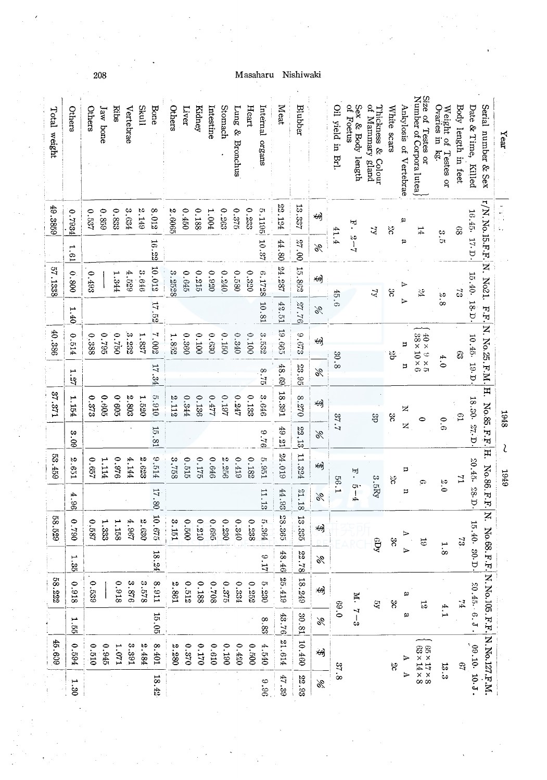| Year                                          |                                          |         |                  |       |                                                                              |        | 1948            | S                  | 6761        |                  |                  |       |                    |            |                                                 |       |
|-----------------------------------------------|------------------------------------------|---------|------------------|-------|------------------------------------------------------------------------------|--------|-----------------|--------------------|-------------|------------------|------------------|-------|--------------------|------------|-------------------------------------------------|-------|
| Serial number & Sex                           | r/N.No.15.F.F.N.No21. F.F.N.No.25.F.M.H. |         |                  |       |                                                                              |        |                 | No.85.F.F.F.H.     |             | No.86.F.F.N.     | $\rm No.68.$ F.F |       |                    |            | N.No.105.F.F.N.No.127.F.N.                      |       |
| Date & Time,<br>Killed                        | 16.45, 17.D                              |         | 15.40. 18.D.     |       | 10.45.19.D                                                                   |        | 18.30. 27.D     |                    | 20.45.28.D. |                  | 15.40 30 D       |       | $50.45 - 6.3$      |            | $09.10 \cdot 10.5$                              |       |
| Body length in feet                           | 89                                       |         | $\mathbb{S}$     |       | ි                                                                            |        | $\mathfrak{g}$  |                    | И           |                  | $\mathbb{S}^1$   |       | $H_{\rm d}$        |            | $\mathfrak{g}_7$                                |       |
| Ovaries in kg.<br>Weight of Testes or         | $\frac{3}{2}$                            |         | $\frac{8}{3}$    |       | 4.0                                                                          |        |                 | $\ddot{\theta}$ .6 |             | 2.0              | $\frac{1}{8}$    |       |                    | $\ddot{+}$ | 13.3                                            |       |
| Size of Testes or<br>Number of Corpora lutea, | 14                                       |         | 泛                |       | $\begin{array}{c} 3 \times 01 \times 88 \\ 3 \times 6 \times 04 \end{array}$ |        | $\bullet$       |                    | ç,          |                  | $\tilde{c}$      |       | 51                 |            | $65 \times 17 \times 8$ $63 \times 14 \times 8$ |       |
| Ankylosis of Vertebrae                        | ø                                        | B       | $\triangleright$ |       | Þ                                                                            | Þ      | Z               | Z                  | Þ           | Ħ                | ⋗                |       | ω                  | ρ          | ⋗                                               |       |
| White scars                                   | $\tilde{\sigma}$                         |         | ွ                |       | 꾱                                                                            |        | S.              |                    | ೫           |                  | 9g               |       | $\mathbf{\hat{s}}$ |            | 3ľ                                              |       |
| of Mammary gland<br>Thickness $\&$<br>Colour  | ਪ੍ਰ                                      |         | $\tilde{z}$      |       |                                                                              |        | GG <sub>3</sub> |                    |             | $3.5\mathrm{Ry}$ | <b>GD</b>        |       | $\mathcal{L}$      |            |                                                 |       |
| Sex & Body length<br>of Foetus                | Ĕ.                                       | $L - Z$ |                  |       |                                                                              |        |                 |                    | $F - 5 - 4$ |                  |                  |       |                    | $M.7 - 3$  |                                                 |       |
| Oil yield in Brl.                             | 41.4                                     |         | 6.6              |       | 30.8                                                                         |        | 37.7            |                    | 1.99        |                  |                  |       |                    | 0.69       | 37.8                                            |       |
|                                               | 焖                                        | %       | 岣                | %     | 蚓                                                                            | %      | 蚓               | %                  | 蚓           | %                | $\Theta$         | %     | :69                | %          | 婅                                               | 26    |
| Blubber                                       | 13.337                                   | 00.72   | 15.862           | 27.78 | 819'6                                                                        | 23.95  | 8.270           | 22, 13             | 11.324      | 81.18            | 13.335           | 87.78 | 18.249             |            | 30.81 10.460                                    | 22.93 |
| Meat                                          | 22.124                                   | 44.80   | 24.287           | 42.51 | 19.665                                                                       | 48.69  | 18.391          | 49.21              | 810.92      | 44.93            | 28.365           | 48.46 | 25.419             | 43.76      | 21.614                                          | 47.39 |
| Internal<br>organs                            | 5.1195                                   | 10.37   | 6.1728           | 10.81 | 3.532                                                                        | $8.75$ | 3.646           | 91.6               | 5.951       | 11.13            | 5.364            | 2.17  | 6.230              | 8.83       | 4.540                                           | 96.96 |
| Heart                                         | 0.233                                    |         | 0.320            |       | 0.100                                                                        |        | 0.133           |                    | 0.182       |                  | 0.238            |       | 0.252              |            | 0.500                                           |       |
| Lung &<br>Bronchus                            | 0.375                                    |         | 0.580            |       | 0.340                                                                        |        | 0.247           |                    | 0.419       |                  | 0.340            |       | 0.334              |            | 0.420                                           |       |
| Stomach                                       | 0.263                                    |         | 0.240            |       | 0.150                                                                        |        | 0.197           |                    | 2.256       |                  | 0.230            |       | 0.375              |            | 0.190                                           |       |
| Intestine                                     | 1.004                                    |         | 0.920            |       | 0.630                                                                        |        | 0.477           |                    | 0.646       |                  | 9.695            |       | 802.0              |            | 0.610                                           |       |
| Kidney                                        | 0.188                                    |         | 0.215            |       | 0.100                                                                        |        | 0.136           |                    | 0.175       |                  | 0.210            |       | 0.188              |            | 0.170                                           |       |
| Liver                                         | 0.450                                    |         | 0.645            |       | 0.360                                                                        |        | 0.344           |                    | 0.515       |                  | 0.500            |       | 0.512              |            | 0.370                                           |       |
| Others                                        | 2.6065                                   |         | 3.2528           |       | 1.852                                                                        |        | 2.112           |                    | 3,758       |                  | 3.151            |       | 2.861              |            | 2.280                                           |       |
| Bone                                          | 8.012                                    | 16.22   | 10.012           | 17.52 | 7.002                                                                        | 17.34  | 5.910           | 15.81              | 9.514       | 17.80            | 10.675           | 18.24 | 116.8              | 15.05      | 1078                                            | 18.42 |
| <b>Skull</b>                                  | 3.149                                    |         | 3.646            |       | 1.837                                                                        |        | 1.520           |                    | 2.623       |                  | 2.630            |       | 3.578              |            | 2.484                                           |       |
| Vertebrae                                     | $3.634$                                  |         | 4.529            |       | 3.232                                                                        |        | 2.803           |                    | 4.144       |                  | 4.967            |       | 3.876              |            | 3.391                                           |       |
| Ribs                                          | 0.833                                    |         | 1.344            |       | 0.750                                                                        |        | 909.0           |                    | 916'0       |                  | 1.158            |       | 816'0              |            | 110.1                                           |       |
| Jaw bone                                      | 0.859                                    |         |                  |       | 0.795                                                                        |        | 0.605           |                    | 1.114       |                  | 1.333            |       |                    |            | 946.0                                           |       |
| <b>Others</b>                                 | 0.537                                    |         | 0.493            |       | 0.388                                                                        |        | 0.373           |                    | 0.657       |                  | 182.0            |       | 0.539              |            | 0.510                                           |       |
| Others                                        | 1934                                     | 1.61    | 0.800            | 1.40  | 0.514                                                                        | 1.27   | 1.154           | 3.09               | 2.651       | 4.96             | 0.790            | 1.35  | 8180               | 1.55       | 0.594                                           | 1.30  |
| Total weight                                  | 49.3859                                  |         | 57.1338          |       | 40.386                                                                       |        | 37.371          |                    | 53.459      |                  | 88.529           |       | 58.222             |            | 45.609                                          |       |

 $\lambda$ 

Masaharu Nishiwaki

1,